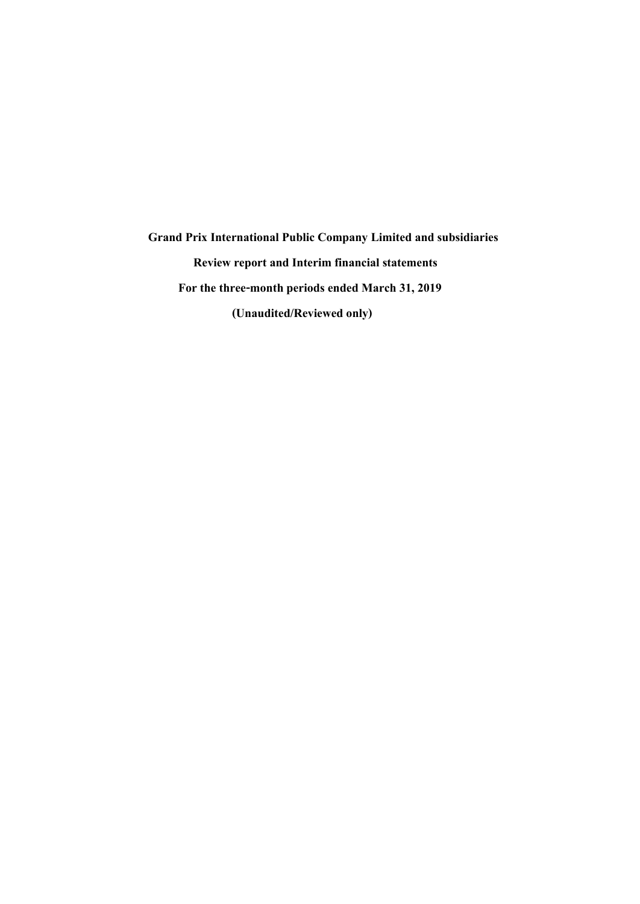**Grand Prix International Public Company Limitedand subsidiaries Review report and Interim financial statements For the three-month periods ended March 31, 2019 (Unaudited/Reviewed only)**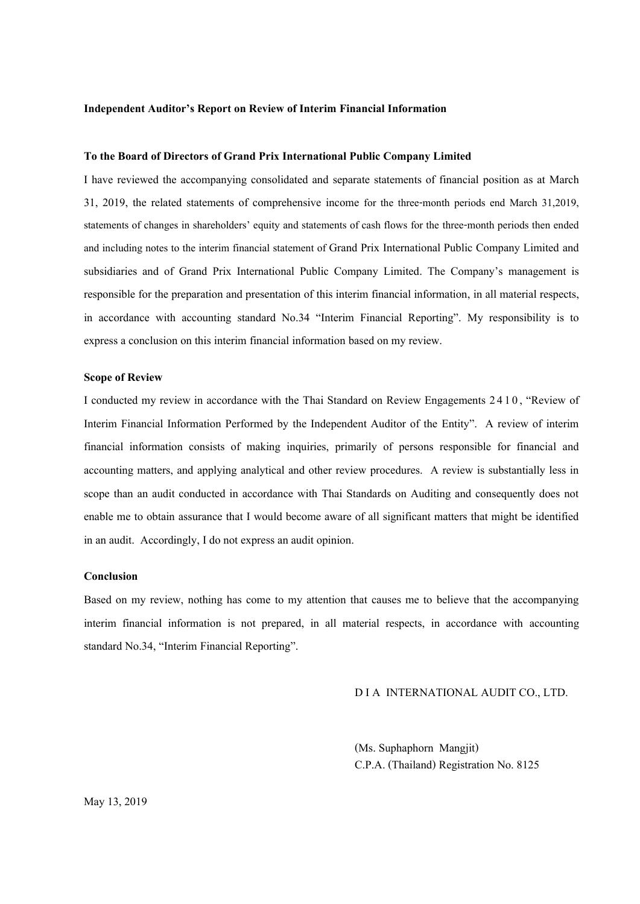### **Independent Auditor's Report on Review of Interim Financial Information**

### **To the Board of Directors of Grand Prix International Public Company Limited**

I have reviewed the accompanying consolidated and separate statements of financial position as at March 31, 2019, the related statements of comprehensive income for the three-month periods end March 31,2019, statements of changes in shareholders' equity and statements of cash flows for the three-month periods then ended and including notes to the interim financial statement of Grand Prix International Public Company Limited and subsidiaries and of Grand Prix International Public Company Limited. The Company's management is responsible for the preparation and presentation of this interim financial information, in all material respects, in accordance with accounting standard No.34 "Interim Financial Reporting". My responsibility is to express a conclusion on this interim financial information based on my review.

### **Scope of Review**

I conducted my review in accordance with the Thai Standard on Review Engagements 2 4 1 0, "Review of Interim Financial Information Performed by the Independent Auditor of the Entity". A review of interim financial information consists of making inquiries, primarily of persons responsible for financial and accounting matters, and applying analytical and other review procedures. A review is substantially less in scope than an audit conducted in accordance with Thai Standards on Auditing and consequently does not enable me to obtain assurance that I would become aware of all significant matters that might be identified in an audit. Accordingly, I do not express an audit opinion.

### **Conclusion**

Based on my review, nothing has come to my attention that causes me to believe that the accompanying interim financial information is not prepared, in all material respects, in accordance with accounting standard No.34, "Interim Financial Reporting".

### D I A INTERNATIONAL AUDIT CO., LTD.

(Ms.Suphaphorn Mangjit) C.P.A. (Thailand) Registration No. 8125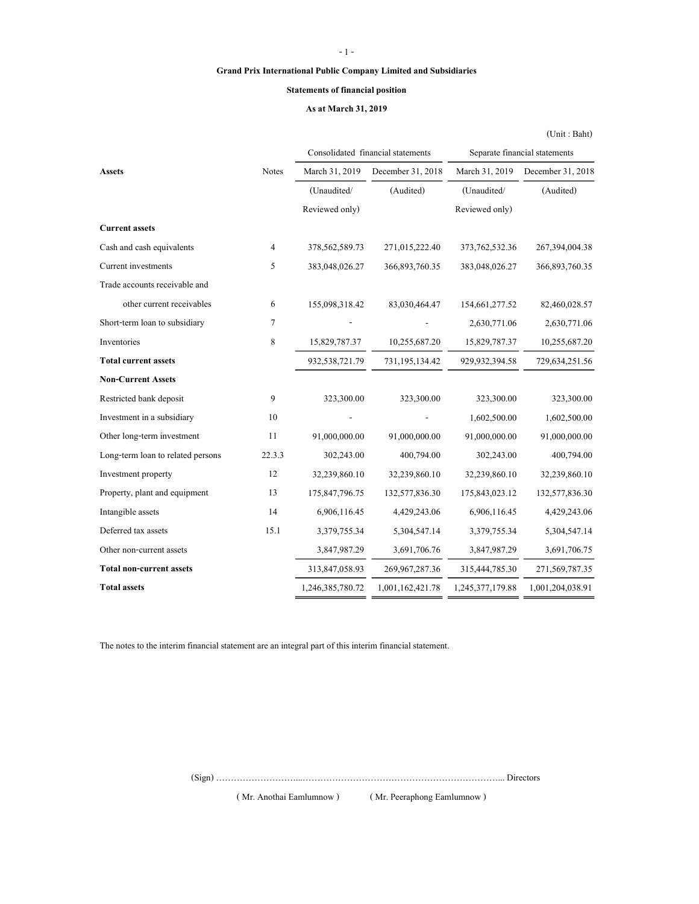### Grand Prix International Public Company Limited and Subsidiaries

#### Statements of financial position

#### As at March 31, 2019

(Unit : Baht)

Assets Notes March 31, 2019 December 31, 2018 March 31, 2019 December 31, 2018 (Unaudited/ (Audited) (Unaudited/ (Audited) Reviewed only) Reviewed only) Current assets Cash and cash equivalents 4 378,562,589.73 271,015,222.40 373,762,532.36 267,394,004.38 Current investments 5 383,048,026.27 366,893,760.35 383,048,026.27 366,893,760.35 Trade accounts receivable and other current receivables 6 155,098,318.42 83,030,464.47 154,661,277.52 82,460,028.57 Short-term loan to subsidiary  $7$  - 2,630,771.06 2,630,771.06 Inventories 8 15,829,787.37 10,255,687.20 15,829,787.37 10,255,687.20 Total current assets 932,538,721.79 731,195,134.42 929,932,394.58 729,634,251.56 Non-Current Assets Restricted bank deposit 9 323,300.00 323,300.00 323,300.00 323,300.00 323,300.00 Investment in a subsidiary 10 1,602,500.00 1,602,500.00 1,602,500.00 Other long-term investment 11 91,000,000.00 91,000,000.00 91,000,000.00 91,000,000.00 Long-term loan to related persons 22.3.3 302,243.00 400,794.00 302,243.00 400,794.00 Investment property 12 32,239,860.10 32,239,860.10 32,239,860.10 32,239,860.10 Property, plant and equipment 13 175,847,796.75 132,577,836.30 175,843,023.12 132,577,836.30 Intangible assets 14 6,906,116.45 4,429,243.06 6,906,116.45 4,429,243.06 Deferred tax assets 15.1 3,379,755.34 5,304,547.14 3,379,755.34 5,304,547.14 Other non-current assets 3,847,987.29 3,691,706.76 3,847,987.29 3,691,706.75 Total non-current assets 313,847,058.93 269,967,287.36 315,444,785.30 271,569,787.35 Total assets 1,246,385,780.72 1,001,162,421.78 1,245,377,179.88 1,001,204,038.91 Consolidated financial statements Separate financial statements

The notes to the interim financial statement are an integral part of this interim financial statement.

(Sign) ………………………...…………………………………………………………... Directors

( Mr. Anothai Eamlumnow ) ( Mr. Peeraphong Eamlumnow )

- 1 -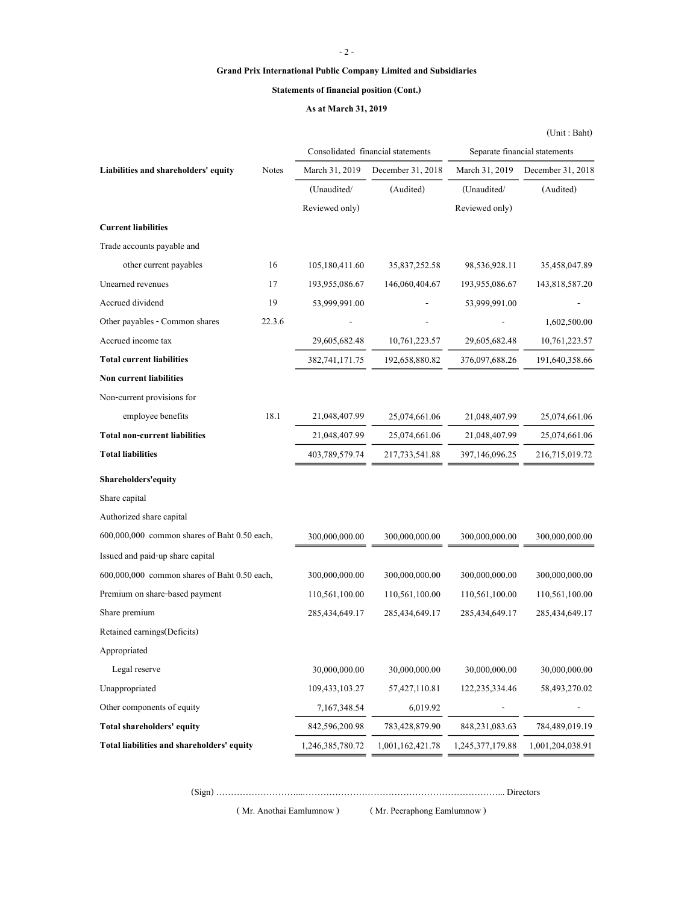### - 2 -

### Grand Prix International Public Company Limited and Subsidiaries

### Statements of financial position (Cont.)

### As at March 31, 2019

|                                              |        |                  |                                   |                               | (Unit : Bath)     |  |
|----------------------------------------------|--------|------------------|-----------------------------------|-------------------------------|-------------------|--|
|                                              |        |                  | Consolidated financial statements | Separate financial statements |                   |  |
| Liabilities and shareholders' equity         | Notes  | March 31, 2019   | December 31, 2018                 | March 31, 2019                | December 31, 2018 |  |
|                                              |        | (Unaudited/      | (Audited)                         | (Unaudited/                   | (Audited)         |  |
|                                              |        | Reviewed only)   |                                   | Reviewed only)                |                   |  |
| <b>Current liabilities</b>                   |        |                  |                                   |                               |                   |  |
| Trade accounts payable and                   |        |                  |                                   |                               |                   |  |
| other current payables                       | 16     | 105,180,411.60   | 35,837,252.58                     | 98,536,928.11                 | 35,458,047.89     |  |
| Unearned revenues                            | 17     | 193,955,086.67   | 146,060,404.67                    | 193,955,086.67                | 143,818,587.20    |  |
| Accrued dividend                             | 19     | 53,999,991.00    |                                   | 53,999,991.00                 |                   |  |
| Other payables - Common shares               | 22.3.6 |                  |                                   |                               | 1,602,500.00      |  |
| Accrued income tax                           |        | 29,605,682.48    | 10,761,223.57                     | 29,605,682.48                 | 10,761,223.57     |  |
| <b>Total current liabilities</b>             |        | 382,741,171.75   | 192,658,880.82                    | 376,097,688.26                | 191,640,358.66    |  |
| <b>Non current liabilities</b>               |        |                  |                                   |                               |                   |  |
| Non-current provisions for                   |        |                  |                                   |                               |                   |  |
| employee benefits                            | 18.1   | 21,048,407.99    | 25,074,661.06                     | 21,048,407.99                 | 25,074,661.06     |  |
| <b>Total non-current liabilities</b>         |        | 21,048,407.99    | 25,074,661.06                     | 21,048,407.99                 | 25,074,661.06     |  |
| <b>Total liabilities</b>                     |        | 403,789,579.74   | 217, 733, 541.88                  | 397,146,096.25                | 216,715,019.72    |  |
| Shareholders' equity                         |        |                  |                                   |                               |                   |  |
| Share capital                                |        |                  |                                   |                               |                   |  |
| Authorized share capital                     |        |                  |                                   |                               |                   |  |
| 600,000,000 common shares of Baht 0.50 each, |        | 300,000,000.00   | 300,000,000.00                    | 300,000,000.00                | 300,000,000.00    |  |
| Issued and paid-up share capital             |        |                  |                                   |                               |                   |  |
| 600,000,000 common shares of Baht 0.50 each, |        | 300,000,000.00   | 300,000,000.00                    | 300,000,000.00                | 300,000,000.00    |  |
| Premium on share-based payment               |        | 110,561,100.00   | 110,561,100.00                    | 110,561,100.00                | 110,561,100.00    |  |
| Share premium                                |        | 285,434,649.17   | 285,434,649.17                    | 285,434,649.17                | 285,434,649.17    |  |
| Retained earnings(Deficits)                  |        |                  |                                   |                               |                   |  |
| Appropriated                                 |        |                  |                                   |                               |                   |  |
| Legal reserve                                |        | 30,000,000.00    | 30,000,000.00                     | 30,000,000.00                 | 30,000,000.00     |  |
| Unappropriated                               |        | 109,433,103.27   | 57,427,110.81                     | 122,235,334.46                | 58,493,270.02     |  |
| Other components of equity                   |        | 7, 167, 348.54   | 6,019.92                          |                               |                   |  |
| Total shareholders' equity                   |        | 842,596,200.98   | 783,428,879.90                    | 848,231,083.63                | 784,489,019.19    |  |
| Total liabilities and shareholders' equity   |        | 1,246,385,780.72 | 1,001,162,421.78                  | 1,245,377,179.88              | 1,001,204,038.91  |  |

(Sign) ………………………...…………………………………………………………... Directors

( Mr. Anothai Eamlumnow ) ( Mr. Peeraphong Eamlumnow )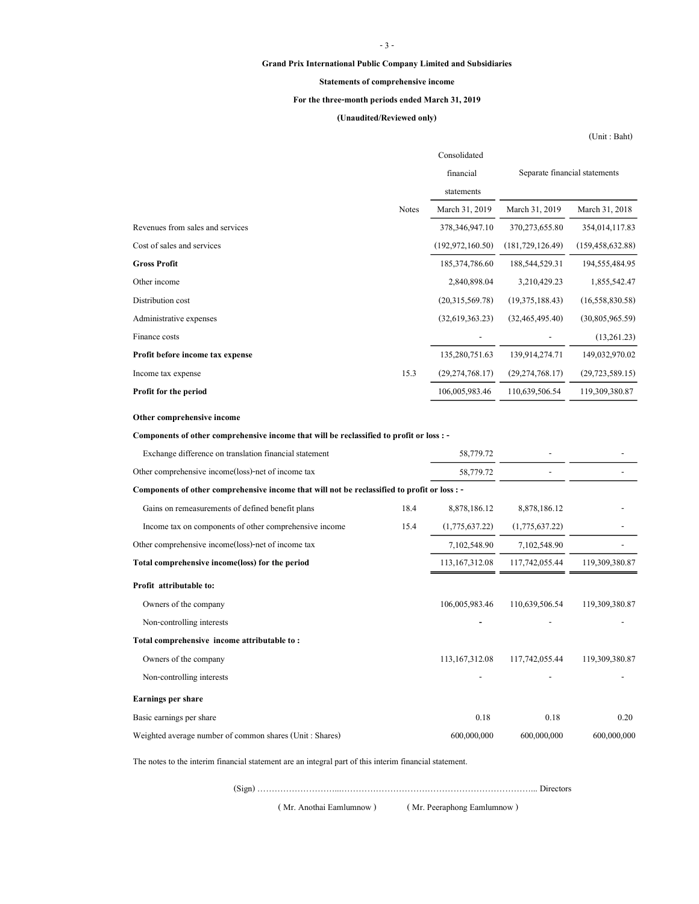### - 3 -

### Grand Prix International Public Company Limited and Subsidiaries

### Statements of comprehensive income

### For the three-month periods ended March 31, 2019

### (Unaudited/Reviewed only)

(Unit : Baht)

|                                                                                              |              | Consolidated       |                    |                               |
|----------------------------------------------------------------------------------------------|--------------|--------------------|--------------------|-------------------------------|
|                                                                                              |              | financial          |                    | Separate financial statements |
|                                                                                              |              | statements         |                    |                               |
|                                                                                              | <b>Notes</b> | March 31, 2019     | March 31, 2019     | March 31, 2018                |
| Revenues from sales and services                                                             |              | 378, 346, 947. 10  | 370, 273, 655.80   | 354,014,117.83                |
| Cost of sales and services                                                                   |              | (192, 972, 160.50) | (181, 729, 126.49) | (159, 458, 632.88)            |
| <b>Gross Profit</b>                                                                          |              | 185, 374, 786.60   | 188,544,529.31     | 194,555,484.95                |
| Other income                                                                                 |              | 2,840,898.04       | 3,210,429.23       | 1,855,542.47                  |
| Distribution cost                                                                            |              | (20,315,569.78)    | (19,375,188.43)    | (16, 558, 830.58)             |
| Administrative expenses                                                                      |              | (32,619,363.23)    | (32, 465, 495, 40) | (30,805,965.59)               |
| Finance costs                                                                                |              |                    |                    | (13,261.23)                   |
| Profit before income tax expense                                                             |              | 135,280,751.63     | 139,914,274.71     | 149,032,970.02                |
| Income tax expense                                                                           | 15.3         | (29, 274, 768.17)  | (29, 274, 768.17)  | (29, 723, 589.15)             |
| Profit for the period                                                                        |              | 106,005,983.46     | 110,639,506.54     | 119,309,380.87                |
| Other comprehensive income                                                                   |              |                    |                    |                               |
|                                                                                              |              |                    |                    |                               |
| Components of other comprehensive income that will be reclassified to profit or loss : -     |              |                    |                    |                               |
| Exchange difference on translation financial statement                                       |              | 58,779.72          |                    |                               |
| Other comprehensive income (loss)-net of income tax                                          |              | 58,779.72          |                    |                               |
| Components of other comprehensive income that will not be reclassified to profit or loss : - |              |                    |                    |                               |
| Gains on remeasurements of defined benefit plans                                             | 18.4         | 8,878,186.12       | 8,878,186.12       |                               |
| Income tax on components of other comprehensive income                                       | 15.4         | (1,775,637.22)     | (1,775,637.22)     |                               |
| Other comprehensive income(loss)-net of income tax                                           |              | 7,102,548.90       | 7,102,548.90       |                               |
| Total comprehensive income(loss) for the period                                              |              | 113, 167, 312.08   | 117,742,055.44     | 119,309,380.87                |
| Profit attributable to:                                                                      |              |                    |                    |                               |
| Owners of the company                                                                        |              | 106,005,983.46     | 110,639,506.54     | 119,309,380.87                |
| Non-controlling interests                                                                    |              |                    |                    |                               |
| Total comprehensive income attributable to:                                                  |              |                    |                    |                               |
| Owners of the company                                                                        |              | 113, 167, 312.08   | 117,742,055.44     | 119,309,380.87                |
| Non-controlling interests                                                                    |              |                    |                    |                               |
| Earnings per share                                                                           |              |                    |                    |                               |
| Basic earnings per share                                                                     |              | 0.18               | 0.18               | 0.20                          |
| Weighted average number of common shares (Unit: Shares)                                      |              | 600,000,000        | 600,000,000        | 600,000,000                   |

The notes to the interim financial statement are an integral part of this interim financial statement.

(Sign) ………………………...…………………………………………………………... Directors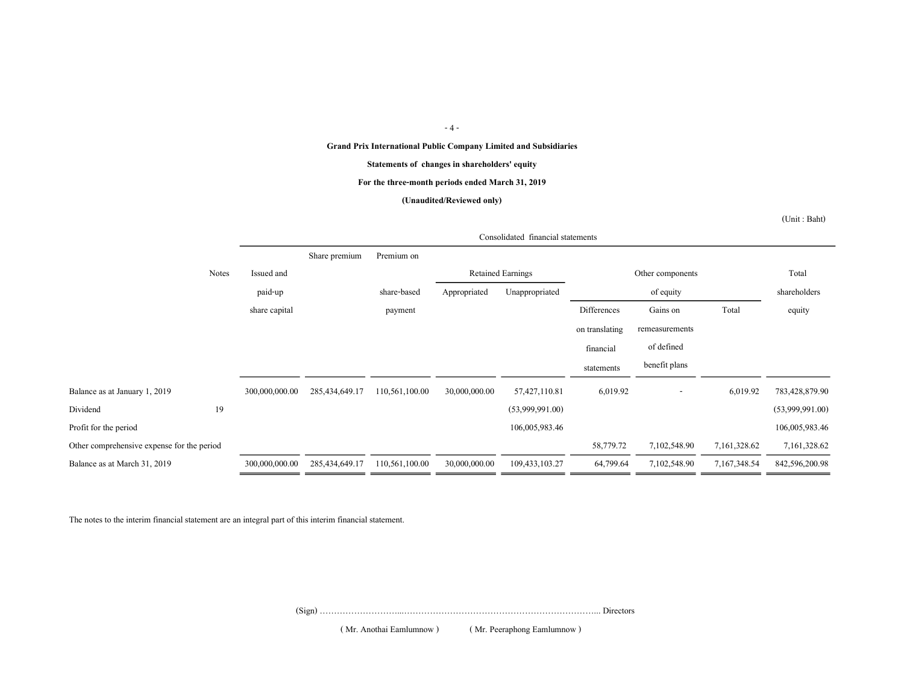#### - 4 -

### Grand Prix International Public Company Limited and Subsidiaries

#### Statements of changes in shareholders' equity

#### For the three-month periods ended March 31, 2019

#### (Unaudited/Reviewed only)

(Unit : Baht)

|                                            |       |                | Consolidated financial statements |                |               |                          |                |                          |              |                 |
|--------------------------------------------|-------|----------------|-----------------------------------|----------------|---------------|--------------------------|----------------|--------------------------|--------------|-----------------|
|                                            |       |                | Share premium                     | Premium on     |               |                          |                |                          |              |                 |
|                                            | Notes | Issued and     |                                   |                |               | <b>Retained Earnings</b> |                | Other components         |              | Total           |
|                                            |       | paid-up        |                                   | share-based    | Appropriated  | Unappropriated           |                | of equity                |              | shareholders    |
|                                            |       | share capital  |                                   | payment        |               |                          | Differences    | Gains on                 | Total        | equity          |
|                                            |       |                |                                   |                |               |                          | on translating | remeasurements           |              |                 |
|                                            |       |                |                                   |                |               |                          | financial      | of defined               |              |                 |
|                                            |       |                |                                   |                |               |                          | statements     | benefit plans            |              |                 |
| Balance as at January 1, 2019              |       | 300,000,000.00 | 285,434,649.17                    | 110,561,100.00 | 30,000,000.00 | 57,427,110.81            | 6,019.92       | $\overline{\phantom{a}}$ | 6,019.92     | 783,428,879.90  |
| Dividend                                   | 19    |                |                                   |                |               | (53,999,991.00)          |                |                          |              | (53,999,991.00) |
| Profit for the period                      |       |                |                                   |                |               | 106,005,983.46           |                |                          |              | 106,005,983.46  |
| Other comprehensive expense for the period |       |                |                                   |                |               |                          | 58,779.72      | 7,102,548.90             | 7,161,328.62 | 7,161,328.62    |
| Balance as at March 31, 2019               |       | 300,000,000.00 | 285,434,649.17                    | 110,561,100.00 | 30,000,000.00 | 109,433,103.27           | 64,799.64      | 7,102,548.90             | 7,167,348.54 | 842,596,200.98  |

The notes to the interim financial statement are an integral part of this interim financial statement.

(Sign) ………………………...…………………………………………………………... Directors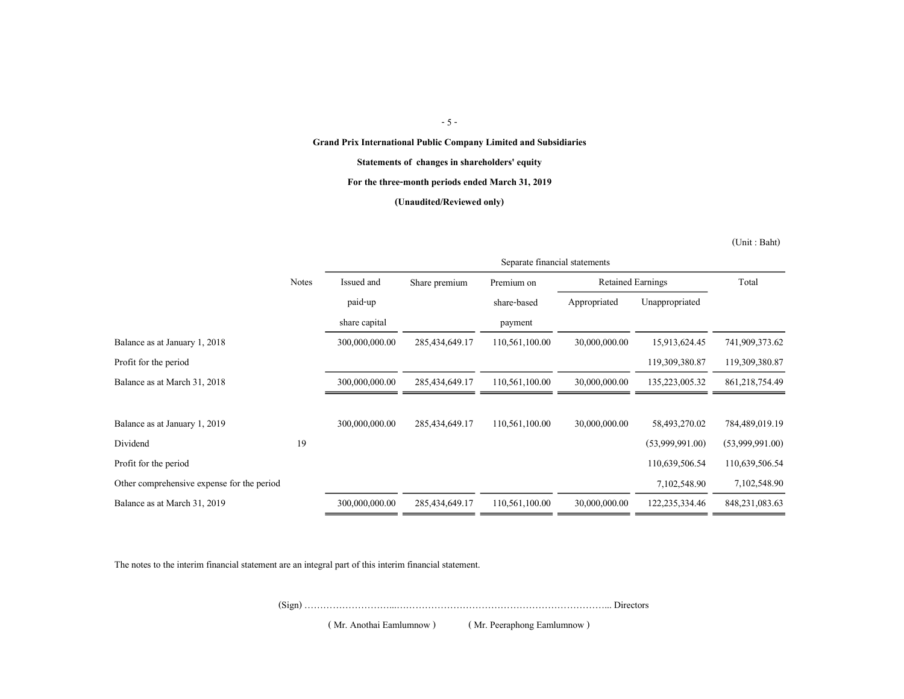- 5 -

Grand Prix International Public Company Limited and Subsidiaries

Statements of changes in shareholders' equity

For the three-month periods ended March 31, 2019

(Unaudited/Reviewed only)

(Unit : Baht)

|                                            |              | Separate financial statements |                   |                |                          |                   |                   |
|--------------------------------------------|--------------|-------------------------------|-------------------|----------------|--------------------------|-------------------|-------------------|
|                                            | <b>Notes</b> | Issued and                    | Share premium     | Premium on     | <b>Retained Earnings</b> |                   | Total             |
|                                            |              | paid-up                       |                   | share-based    | Appropriated             | Unappropriated    |                   |
|                                            |              | share capital                 |                   | payment        |                          |                   |                   |
| Balance as at January 1, 2018              |              | 300,000,000.00                | 285, 434, 649. 17 | 110,561,100.00 | 30,000,000.00            | 15,913,624.45     | 741,909,373.62    |
| Profit for the period                      |              |                               |                   |                |                          | 119,309,380.87    | 119,309,380.87    |
| Balance as at March 31, 2018               |              | 300,000,000.00                | 285, 434, 649. 17 | 110,561,100.00 | 30,000,000.00            | 135,223,005.32    | 861, 218, 754. 49 |
|                                            |              |                               |                   |                |                          |                   |                   |
| Balance as at January 1, 2019              |              | 300,000,000.00                | 285,434,649.17    | 110,561,100.00 | 30,000,000.00            | 58,493,270.02     | 784,489,019.19    |
| Dividend                                   | 19           |                               |                   |                |                          | (53,999,991.00)   | (53,999,991.00)   |
| Profit for the period                      |              |                               |                   |                |                          | 110,639,506.54    | 110,639,506.54    |
| Other comprehensive expense for the period |              |                               |                   |                |                          | 7,102,548.90      | 7,102,548.90      |
| Balance as at March 31, 2019               |              | 300,000,000.00                | 285,434,649.17    | 110,561,100.00 | 30,000,000.00            | 122, 235, 334. 46 | 848, 231, 083. 63 |
|                                            |              |                               |                   |                |                          |                   |                   |

The notes to the interim financial statement are an integral part of this interim financial statement.

(Sign) ………………………...…………………………………………………………... Directors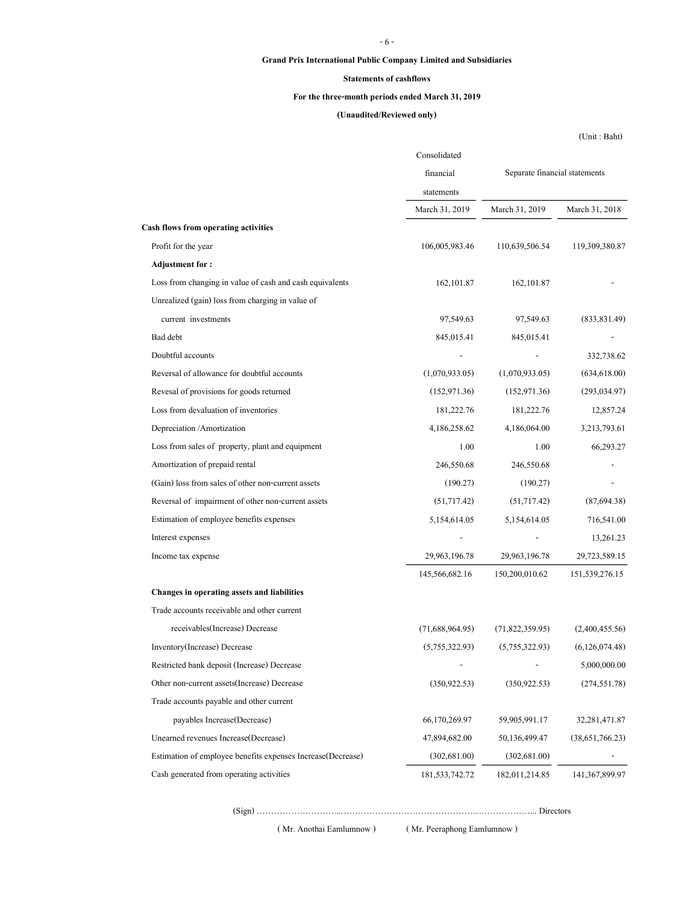### - 6 -

### Grand Prix International Public Company Limited and Subsidiaries

### Statements of cashflows

### For the three-month periods ended March 31, 2019

### (Unaudited/Reviewed only)

(Unit : Baht)

|                                                             | Consolidated      |                               |                 |  |
|-------------------------------------------------------------|-------------------|-------------------------------|-----------------|--|
|                                                             | financial         | Separate financial statements |                 |  |
|                                                             | statements        |                               |                 |  |
|                                                             | March 31, 2019    | March 31, 2019                | March 31, 2018  |  |
| Cash flows from operating activities                        |                   |                               |                 |  |
| Profit for the year                                         | 106,005,983.46    | 110,639,506.54                | 119,309,380.87  |  |
| <b>Adjustment for:</b>                                      |                   |                               |                 |  |
| Loss from changing in value of cash and cash equivalents    | 162, 101.87       | 162, 101.87                   |                 |  |
| Unrealized (gain) loss from charging in value of            |                   |                               |                 |  |
| current investments                                         | 97,549.63         | 97,549.63                     | (833, 831.49)   |  |
| Bad debt                                                    | 845,015.41        | 845,015.41                    |                 |  |
| Doubtful accounts                                           |                   |                               | 332,738.62      |  |
| Reversal of allowance for doubtful accounts                 | (1,070,933.05)    | (1,070,933.05)                | (634, 618.00)   |  |
| Revesal of provisions for goods returned                    | (152, 971.36)     | (152, 971.36)                 | (293, 034.97)   |  |
| Loss from devaluation of inventories                        | 181,222.76        | 181,222.76                    | 12,857.24       |  |
| Depreciation / Amortization                                 | 4,186,258.62      | 4,186,064.00                  | 3,213,793.61    |  |
| Loss from sales of property, plant and equipment            | 1.00              | 1.00                          | 66,293.27       |  |
| Amortization of prepaid rental                              | 246,550.68        | 246,550.68                    |                 |  |
| (Gain) loss from sales of other non-current assets          | (190.27)          | (190.27)                      |                 |  |
| Reversal of impairment of other non-current assets          | (51,717.42)       | (51,717.42)                   | (87,694.38)     |  |
| Estimation of employee benefits expenses                    | 5,154,614.05      | 5,154,614.05                  | 716,541.00      |  |
| Interest expenses                                           |                   |                               | 13,261.23       |  |
| Income tax expense                                          | 29,963,196.78     | 29,963,196.78                 | 29,723,589.15   |  |
|                                                             | 145,566,682.16    | 150,200,010.62                | 151,539,276.15  |  |
| Changes in operating assets and liabilities                 |                   |                               |                 |  |
| Trade accounts receivable and other current                 |                   |                               |                 |  |
| receivables(Increase) Decrease                              | (71,688,964.95)   | (71,822,359.95)               | (2,400,455.56)  |  |
| Inventory(Increase) Decrease                                | (5,755,322.93)    | (5,755,322.93)                | (6,126,074.48)  |  |
| Restricted bank deposit (Increase) Decrease                 |                   |                               | 5,000,000.00    |  |
| Other non-current assets (Increase) Decrease                | (350, 922.53)     | (350, 922.53)                 | (274, 551.78)   |  |
| Trade accounts payable and other current                    |                   |                               |                 |  |
| payables Increase (Decrease)                                | 66,170,269.97     | 59,905,991.17                 | 32, 281, 471.87 |  |
| Unearned revenues Increase(Decrease)                        | 47,894,682.00     | 50,136,499.47                 | (38,651,766.23) |  |
| Estimation of employee benefits expenses Increase(Decrease) | (302, 681.00)     | (302, 681.00)                 |                 |  |
| Cash generated from operating activities                    | 181, 533, 742. 72 | 182,011,214.85                | 141,367,899.97  |  |

( Mr. Anothai Eamlumnow ) ( Mr. Peeraphong Eamlumnow )

(Sign) ………………………...…………………………………………………………... Directors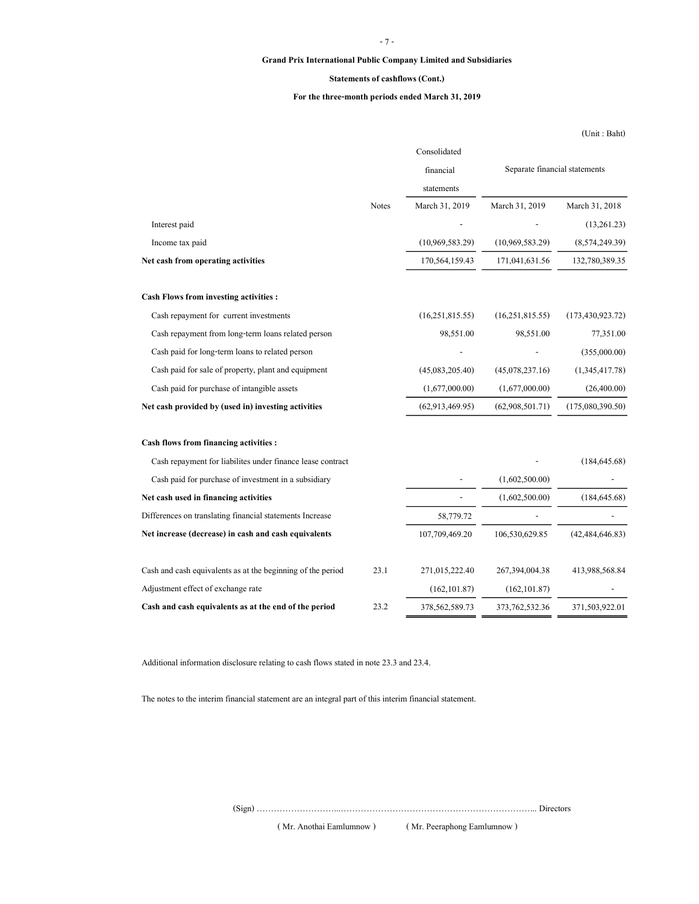### - 7 -

### Grand Prix International Public Company Limited and Subsidiaries

### Statements of cashflows (Cont.)

### For the three-month periods ended March 31, 2019

(Unit : Baht)

|                                                             |              | Consolidated    |                               |                    |
|-------------------------------------------------------------|--------------|-----------------|-------------------------------|--------------------|
|                                                             |              | financial       | Separate financial statements |                    |
|                                                             |              | statements      |                               |                    |
|                                                             | <b>Notes</b> | March 31, 2019  | March 31, 2019                | March 31, 2018     |
| Interest paid                                               |              |                 |                               | (13,261.23)        |
| Income tax paid                                             |              | (10,969,583.29) | (10,969,583.29)               | (8,574,249.39)     |
| Net cash from operating activities                          |              | 170,564,159.43  | 171,041,631.56                | 132,780,389.35     |
| <b>Cash Flows from investing activities:</b>                |              |                 |                               |                    |
| Cash repayment for current investments                      |              | (16,251,815.55) | (16,251,815.55)               | (173, 430, 923.72) |
| Cash repayment from long-term loans related person          |              | 98,551.00       | 98,551.00                     | 77,351.00          |
| Cash paid for long-term loans to related person             |              |                 |                               | (355,000.00)       |
| Cash paid for sale of property, plant and equipment         |              | (45,083,205.40) | (45,078,237.16)               | (1,345,417.78)     |
| Cash paid for purchase of intangible assets                 |              | (1,677,000.00)  | (1,677,000.00)                | (26,400.00)        |
| Net cash provided by (used in) investing activities         |              | (62,913,469.95) | (62,908,501.71)               | (175,080,390.50)   |
| Cash flows from financing activities :                      |              |                 |                               |                    |
| Cash repayment for liabilites under finance lease contract  |              |                 |                               | (184, 645.68)      |
| Cash paid for purchase of investment in a subsidiary        |              |                 | (1,602,500.00)                |                    |
| Net cash used in financing activities                       |              |                 | (1,602,500.00)                | (184, 645.68)      |
| Differences on translating financial statements Increase    |              | 58,779.72       |                               |                    |
| Net increase (decrease) in cash and cash equivalents        |              | 107,709,469.20  | 106,530,629.85                | (42, 484, 646.83)  |
| Cash and cash equivalents as at the beginning of the period | 23.1         | 271,015,222.40  | 267,394,004.38                | 413,988,568.84     |
| Adjustment effect of exchange rate                          |              | (162, 101.87)   | (162, 101.87)                 |                    |
| Cash and cash equivalents as at the end of the period       | 23.2         | 378,562,589.73  | 373,762,532.36                | 371,503,922.01     |
|                                                             |              |                 |                               |                    |

Additional information disclosure relating to cash flows stated in note 23.3 and 23.4.

The notes to the interim financial statement are an integral part of this interim financial statement.

(Sign) ………………………...…………………………………………………………... Directors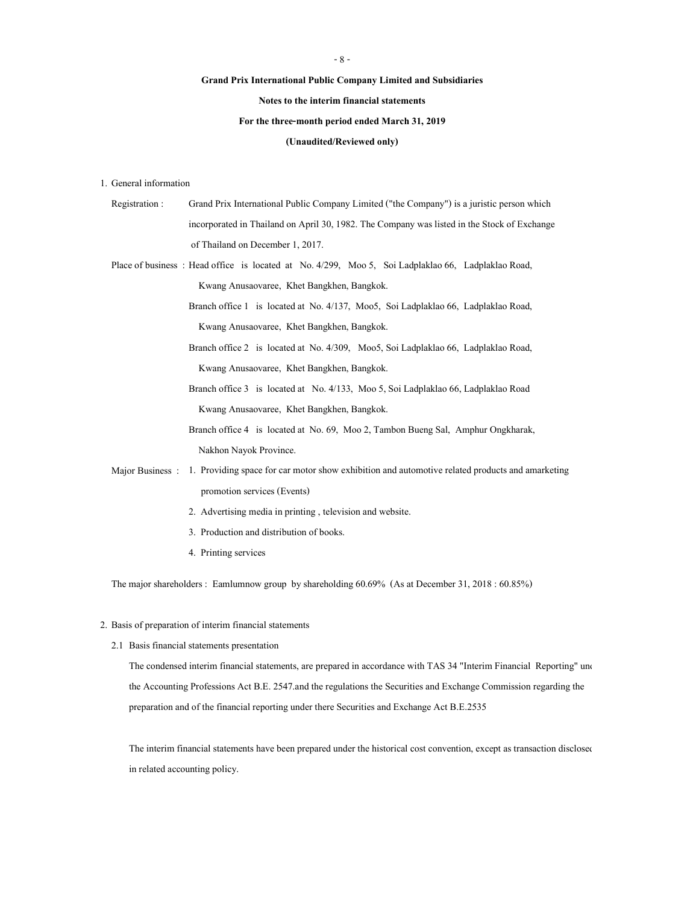#### - 8 -

#### Grand Prix International Public Company Limited and Subsidiaries

### Notes to the interim financial statements

#### For the three-month period ended March 31, 2019

#### (Unaudited/Reviewed only)

1. General information

- Registration : Grand Prix International Public Company Limited ("the Company") is a juristic person which incorporated in Thailand on April 30, 1982. The Company was listed in the Stock of Exchange of Thailand on December 1, 2017.
- Place of business : Head office is located at No. 4/299, Moo 5, Soi Ladplaklao 66, Ladplaklao Road, Kwang Anusaovaree, Khet Bangkhen, Bangkok.

Branch office 1 is located at No. 4/137, Moo5, Soi Ladplaklao 66, Ladplaklao Road, Kwang Anusaovaree, Khet Bangkhen, Bangkok.

Branch office 2 is located at No. 4/309, Moo5, Soi Ladplaklao 66, Ladplaklao Road, Kwang Anusaovaree, Khet Bangkhen, Bangkok.

- Branch office 3 is located at No. 4/133, Moo 5, Soi Ladplaklao 66, Ladplaklao Road Kwang Anusaovaree, Khet Bangkhen, Bangkok.
- Branch office 4 is located at No. 69, Moo 2, Tambon Bueng Sal, Amphur Ongkharak, Nakhon Nayok Province.

Major Business : 1. Providing space for car motor show exhibition and automotive related products and amarketing promotion services (Events)

- 2. Advertising media in printing , television and website.
- 3. Production and distribution of books.
- 4. Printing services

The major shareholders : Eamlumnow group by shareholding 60.69% (As at December 31, 2018 : 60.85%)

#### 2. Basis of preparation of interim financial statements

2.1 Basis financial statements presentation

The condensed interim financial statements, are prepared in accordance with TAS 34 "Interim Financial Reporting" und the Accounting Professions Act B.E. 2547.and the regulations the Securities and Exchange Commission regarding the preparation and of the financial reporting under there Securities and Exchange Act B.E.2535

The interim financial statements have been prepared under the historical cost convention, except as transaction disclosed in related accounting policy.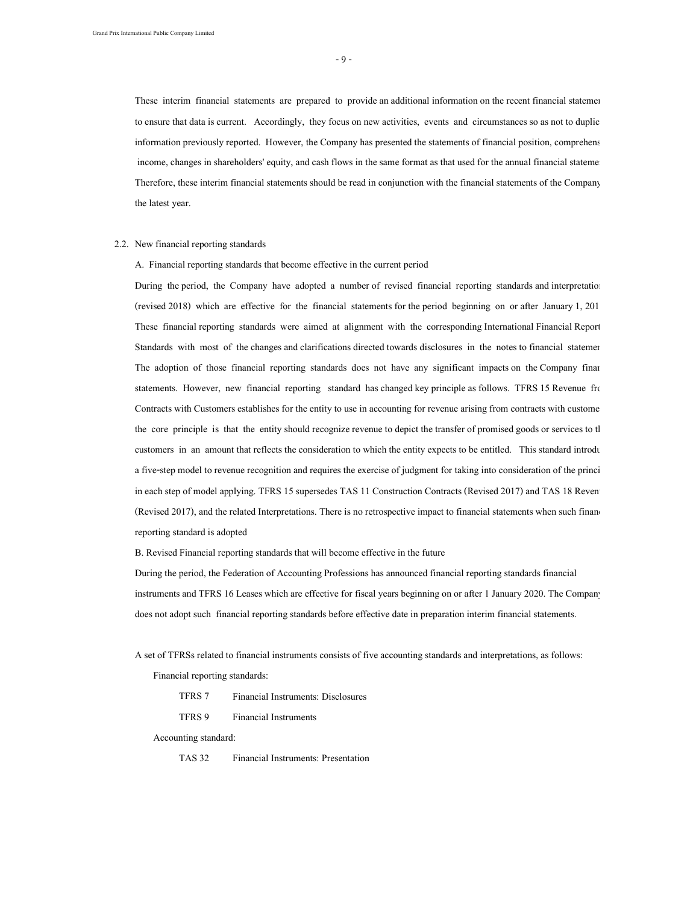- 9 -

These interim financial statements are prepared to provide an additional information on the recent financial statements to ensure that data is current. Accordingly, they focus on new activities, events and circumstances so as not to duplic information previously reported. However, the Company has presented the statements of financial position, comprehens income, changes in shareholders' equity, and cash flows in the same format as that used for the annual financial stateme Therefore, these interim financial statements should be read in conjunction with the financial statements of the Company the latest year.

#### 2.2. New financial reporting standards

A. Financial reporting standards that become effective in the current period

During the period, the Company have adopted a number of revised financial reporting standards and interpretations (revised 2018) which are effective for the financial statements for the period beginning on or after January 1, 2019. These financial reporting standards were aimed at alignment with the corresponding International Financial Reporting Standards with most of the changes and clarifications directed towards disclosures in the notes to financial statements. The adoption of those financial reporting standards does not have any significant impacts on the Company finan statements. However, new financial reporting standard has changed key principle as follows. TFRS 15 Revenue from Contracts with Customers establishes for the entity to use in accounting for revenue arising from contracts with custome the core principle is that the entity should recognize revenue to depict the transfer of promised goods or services to the customers in an amount that reflects the consideration to which the entity expects to be entitled. This standard introduces a five-step model to revenue recognition and requires the exercise of judgment for taking into consideration of the princi in each step of model applying. TFRS 15 supersedes TAS 11 Construction Contracts (Revised 2017) and TAS 18 Reven (Revised 2017), and the related Interpretations. There is no retrospective impact to financial statements when such financial reporting standard is adopted

B. Revised Financial reporting standards that will become effective in the future

During the period, the Federation of Accounting Professions has announced financial reporting standards financial instruments and TFRS 16 Leases which are effective for fiscal years beginning on or after 1 January 2020. The Company does not adopt such financial reporting standards before effective date in preparation interim financial statements.

A set of TFRSs related to financial instruments consists of five accounting standards and interpretations, as follows:

Financial reporting standards:

TFRS 7 Financial Instruments: Disclosures

TFRS 9 Financial Instruments

Accounting standard:

TAS 32 Financial Instruments: Presentation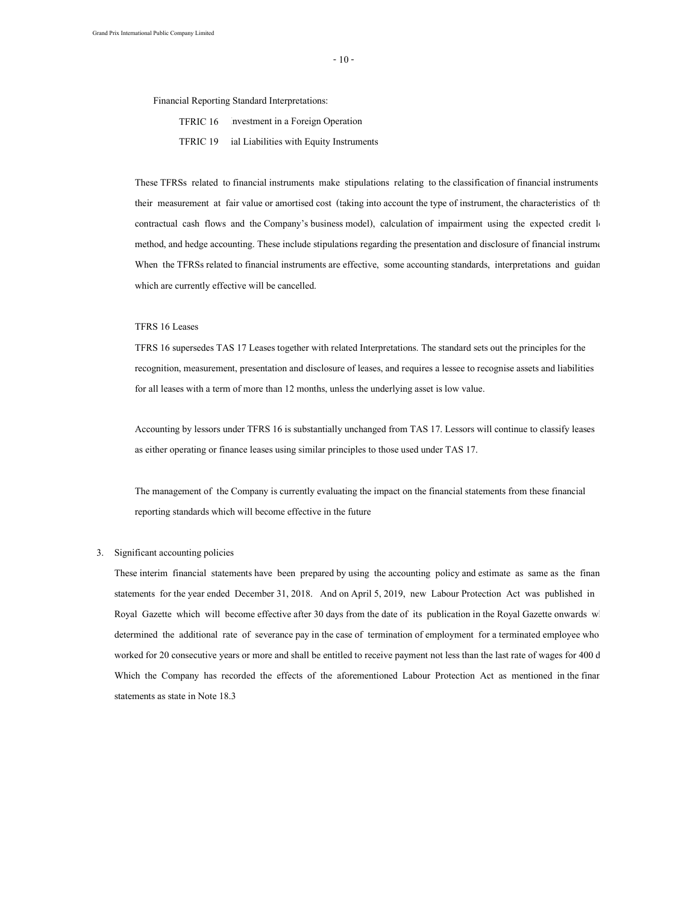$-10-$ 

Financial Reporting Standard Interpretations:

TFRIC 16 Investment in a Foreign Operation

TFRIC 19 ial Liabilities with Equity Instruments

These TFRSs related to financial instruments make stipulations relating to the classification of financial instruments their measurement at fair value or amortised cost (taking into account the type of instrument, the characteristics of the contractual cash flows and the Company's business model), calculation of impairment using the expected credit lo method, and hedge accounting. These include stipulations regarding the presentation and disclosure of financial instrume When the TFRSs related to financial instruments are effective, some accounting standards, interpretations and guidan which are currently effective will be cancelled.

### TFRS 16 Leases

TFRS 16 supersedes TAS 17 Leases together with related Interpretations. The standard sets out the principles for the recognition, measurement, presentation and disclosure of leases, and requires a lessee to recognise assets and liabilities for all leases with a term of more than 12 months, unless the underlying asset is low value.

Accounting by lessors under TFRS 16 is substantially unchanged from TAS 17. Lessors will continue to classify leases as either operating or finance leases using similar principles to those used under TAS 17.

The management of the Company is currently evaluating the impact on the financial statements from these financial reporting standards which will become effective in the future

#### 3. Significant accounting policies

These interim financial statements have been prepared by using the accounting policy and estimate as same as the finan statements for the year ended December 31, 2018. And on April 5, 2019, new Labour Protection Act was published in Royal Gazette which will become effective after 30 days from the date of its publication in the Royal Gazette onwards when determined the additional rate of severance pay in the case of termination of employment for a terminated employee who worked for 20 consecutive years or more and shall be entitled to receive payment not less than the last rate of wages for 400 d Which the Company has recorded the effects of the aforementioned Labour Protection Act as mentioned in the finan statements as state in Note 18.3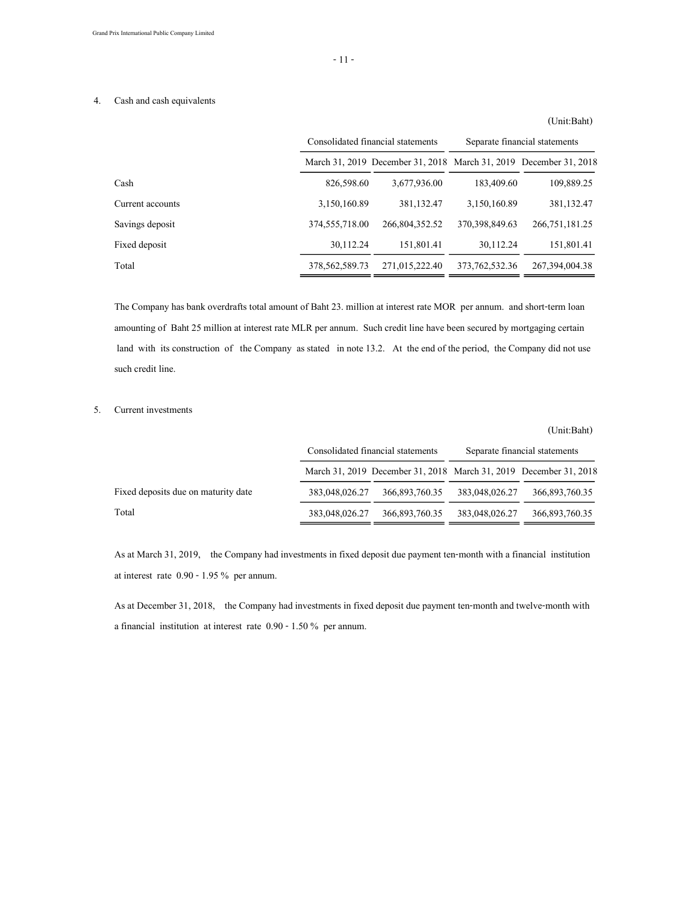### 4. Cash and cash equivalents

# March 31, 2019 December 31, 2018 March 31, 2019 December 31, 2018 Cash 826,598.60 3,677,936.00 183,409.60 109,889.25 Current accounts 3,150,160.89 381,132.47 3,150,160.89 381,132.47 Savings deposit 374,555,718.00 266,804,352.52 370,398,849.63 266,751,181.25 Fixed deposit 151,801.41 30,112.24 151,801.41 30,112.24 151,801.41 Total 378,562,589.73 271,015,222.40 373,762,532.36 267,394,004.38 Consolidated financial statements Separate financial statements

The Company has bank overdrafts total amount of Baht 23. million at interest rate MOR per annum. and short-term loan amounting of Baht 25 million at interest rate MLR per annum. Such credit line have been secured by mortgaging certain land with its construction of the Company as stated in note 13.2. At the end of the period, the Company did not use such credit line.

### 5. Current investments

|                                     |                |                                                                   |                | (Unit:Baht)                   |  |
|-------------------------------------|----------------|-------------------------------------------------------------------|----------------|-------------------------------|--|
|                                     |                | Consolidated financial statements                                 |                | Separate financial statements |  |
|                                     |                | March 31, 2019 December 31, 2018 March 31, 2019 December 31, 2018 |                |                               |  |
| Fixed deposits due on maturity date | 383,048,026.27 | 366,893,760.35                                                    | 383,048,026.27 | 366,893,760.35                |  |
| Total                               | 383,048,026.27 | 366,893,760.35                                                    | 383,048,026.27 | 366,893,760.35                |  |

As at March 31, 2019, the Company had investments in fixed deposit due payment ten-month with a financial institution at interest rate 0.90 - 1.95 % per annum.

As at December 31, 2018, the Company had investments in fixed deposit due payment ten-month and twelve-month with a financial institution at interest rate 0.90 - 1.50 % per annum.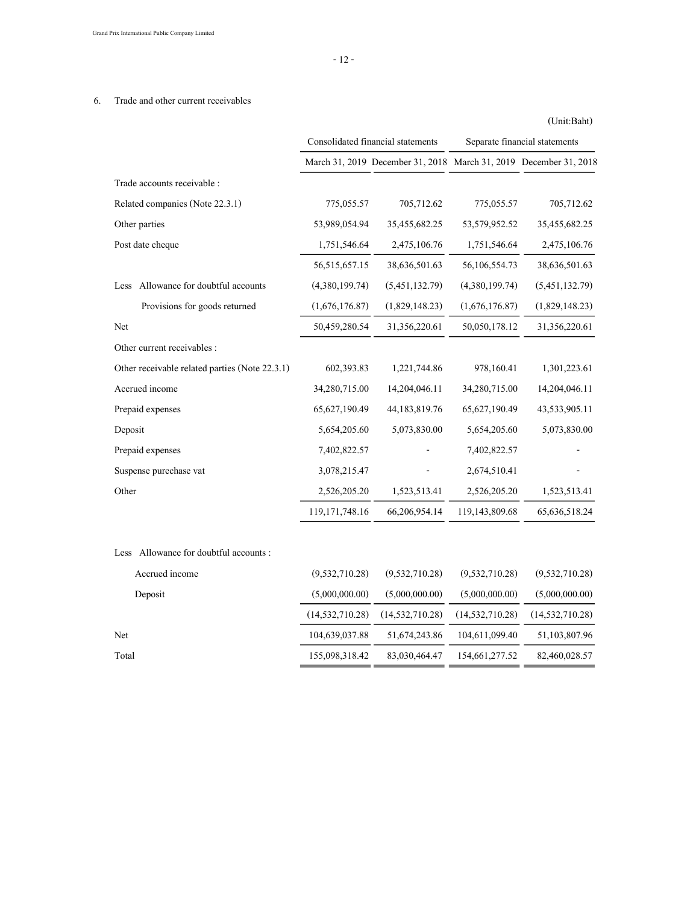### 6. Trade and other current receivables

|                                                |                   | Consolidated financial statements                                 | Separate financial statements |                   |  |
|------------------------------------------------|-------------------|-------------------------------------------------------------------|-------------------------------|-------------------|--|
|                                                |                   | March 31, 2019 December 31, 2018 March 31, 2019 December 31, 2018 |                               |                   |  |
| Trade accounts receivable :                    |                   |                                                                   |                               |                   |  |
| Related companies (Note 22.3.1)                | 775,055.57        | 705,712.62                                                        | 775,055.57                    | 705,712.62        |  |
| Other parties                                  | 53,989,054.94     | 35,455,682.25                                                     | 53,579,952.52                 | 35,455,682.25     |  |
| Post date cheque                               | 1,751,546.64      | 2,475,106.76                                                      | 1,751,546.64                  | 2,475,106.76      |  |
|                                                | 56, 515, 657. 15  | 38,636,501.63                                                     | 56,106,554.73                 | 38,636,501.63     |  |
| Allowance for doubtful accounts<br>Less        | (4,380,199.74)    | (5,451,132.79)                                                    | (4,380,199.74)                | (5,451,132.79)    |  |
| Provisions for goods returned                  | (1,676,176.87)    | (1,829,148.23)                                                    | (1,676,176.87)                | (1,829,148.23)    |  |
| Net                                            | 50,459,280.54     | 31,356,220.61                                                     | 50,050,178.12                 | 31,356,220.61     |  |
| Other current receivables :                    |                   |                                                                   |                               |                   |  |
| Other receivable related parties (Note 22.3.1) | 602,393.83        | 1,221,744.86                                                      | 978,160.41                    | 1,301,223.61      |  |
| Accrued income                                 | 34,280,715.00     | 14,204,046.11                                                     | 34,280,715.00                 | 14,204,046.11     |  |
| Prepaid expenses                               | 65,627,190.49     | 44, 183, 819. 76                                                  | 65,627,190.49                 | 43,533,905.11     |  |
| Deposit                                        | 5,654,205.60      | 5,073,830.00                                                      | 5,654,205.60                  | 5,073,830.00      |  |
| Prepaid expenses                               | 7,402,822.57      |                                                                   | 7,402,822.57                  |                   |  |
| Suspense purechase vat                         | 3,078,215.47      |                                                                   | 2,674,510.41                  |                   |  |
| Other                                          | 2,526,205.20      | 1,523,513.41                                                      | 2,526,205.20                  | 1,523,513.41      |  |
|                                                | 119, 171, 748. 16 | 66,206,954.14                                                     | 119,143,809.68                | 65, 636, 518.24   |  |
| Allowance for doubtful accounts:<br>Less       |                   |                                                                   |                               |                   |  |
| Accrued income                                 | (9,532,710.28)    | (9,532,710.28)                                                    | (9,532,710.28)                | (9,532,710.28)    |  |
| Deposit                                        | (5,000,000.00)    | (5,000,000.00)                                                    | (5,000,000.00)                | (5,000,000.00)    |  |
|                                                | (14, 532, 710.28) | (14, 532, 710.28)                                                 | (14, 532, 710.28)             | (14, 532, 710.28) |  |
| Net                                            | 104,639,037.88    | 51,674,243.86                                                     | 104,611,099.40                | 51,103,807.96     |  |
| Total                                          | 155,098,318.42    | 83,030,464.47                                                     | 154,661,277.52                | 82,460,028.57     |  |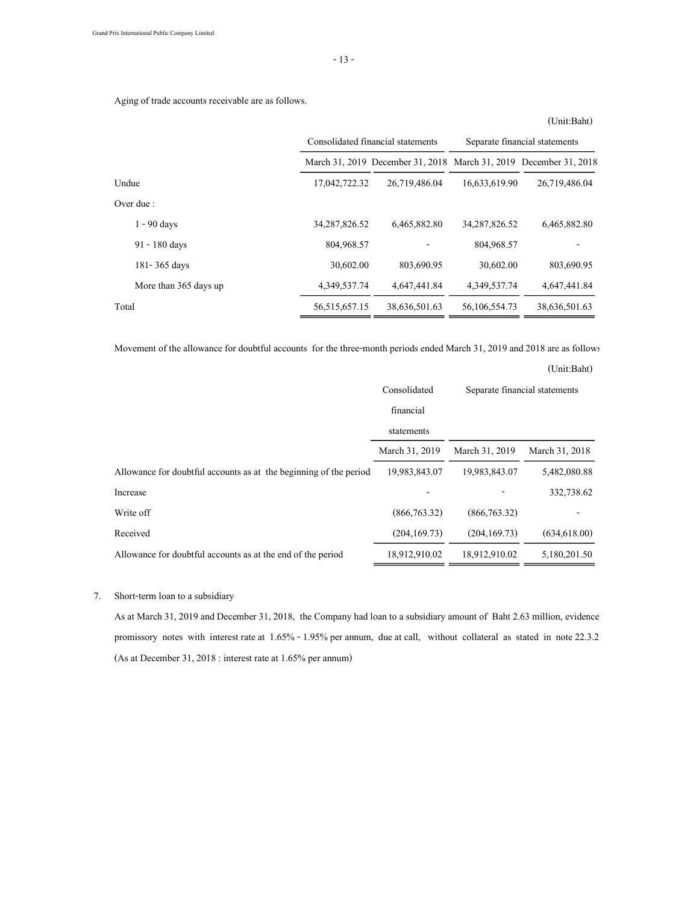- 13 -

Aging of trade accounts receivable are as follows.

(Unit:Baht)

|                       |                  | Consolidated financial statements                                 | Separate financial statements |               |  |
|-----------------------|------------------|-------------------------------------------------------------------|-------------------------------|---------------|--|
|                       |                  | March 31, 2019 December 31, 2018 March 31, 2019 December 31, 2018 |                               |               |  |
| Undue                 | 17,042,722.32    | 26,719,486.04                                                     | 16,633,619.90                 | 26,719,486.04 |  |
| Over due :            |                  |                                                                   |                               |               |  |
| $1 - 90$ days         | 34, 287, 826, 52 | 6,465,882.80                                                      | 34, 287, 826, 52              | 6,465,882.80  |  |
| 91 - 180 days         | 804,968.57       |                                                                   | 804,968.57                    |               |  |
| 181-365 days          | 30,602.00        | 803,690.95                                                        | 30,602.00                     | 803,690.95    |  |
| More than 365 days up | 4,349,537.74     | 4,647,441.84                                                      | 4,349,537.74                  | 4,647,441.84  |  |
| Total                 | 56, 515, 657. 15 | 38,636,501.63                                                     | 56, 106, 554, 73              | 38,636,501.63 |  |

Movement of the allowance for doubtful accounts for the three-month periods ended March 31, 2019 and 2018 are as follows:

|                                                                   | Consolidated   | Separate financial statements |                |
|-------------------------------------------------------------------|----------------|-------------------------------|----------------|
|                                                                   | financial      |                               |                |
|                                                                   | statements     |                               |                |
|                                                                   | March 31, 2019 | March 31, 2019                | March 31, 2018 |
| Allowance for doubtful accounts as at the beginning of the period | 19,983,843.07  | 19,983,843.07                 | 5,482,080.88   |
| Increase                                                          |                |                               | 332,738.62     |
| Write off                                                         | (866, 763, 32) | (866, 763, 32)                |                |
| Received                                                          | (204, 169, 73) | (204, 169, 73)                | (634, 618, 00) |
| Allowance for doubtful accounts as at the end of the period       | 18,912,910.02  | 18,912,910.02                 | 5,180,201.50   |

### 7. Short-term loan to a subsidiary

As at March 31, 2019 and December 31, 2018, the Company had loan to a subsidiary amount of Baht 2.63 million, evidence promissory notes with interest rate at 1.65% - 1.95% per annum, due at call, without collateral as stated in note 22.3.2. (As at December 31, 2018 : interest rate at 1.65% per annum)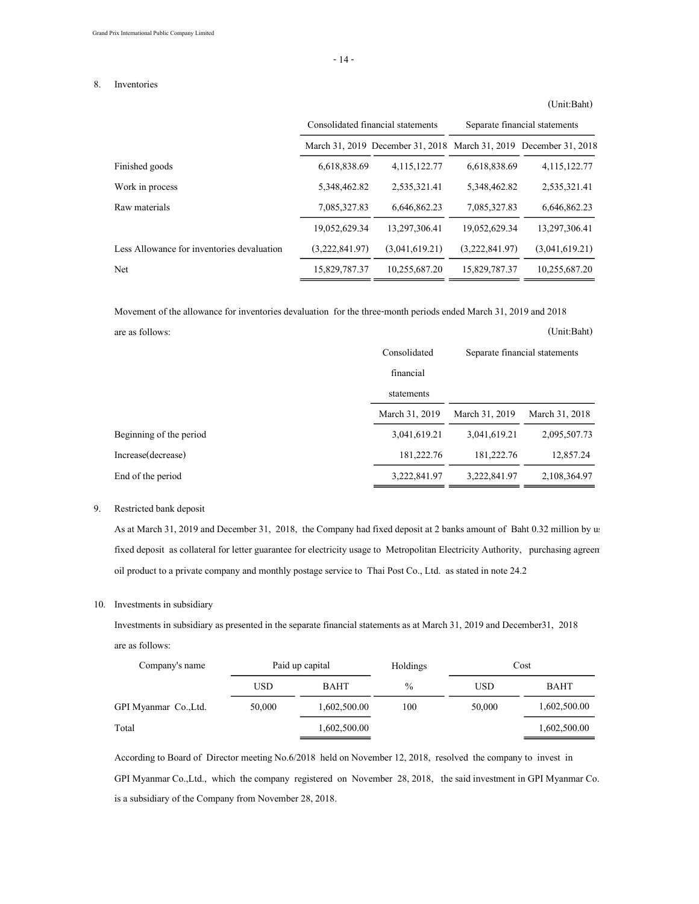#### 8. Inventories

# March 31, 2019 December 31, 2018 March 31, 2019 December 31, 2018 Finished goods 6,618,838.69 4,115,122.77 6,618,838.69 4,115,122.77 Work in process 5,348,462.82 2,535,321.41 5,348,462.82 2,535,321.41 Raw materials **7,085,327.83** 6,646,862.23 7,085,327.83 6,646,862.23 19,052,629.34 13,297,306.41 19,052,629.34 13,297,306.41 Less Allowance for inventories devaluation (3,222,841.97) (3,041,619.21) (3,222,841.97) (3,041,619.21) Net 15,829,787.37 10,255,687.20 15,829,787.37 10,255,687.20 Consolidated financial statements Separate financial statements

Movement of the allowance for inventories devaluation for the three-month periods ended March 31, 2019 and 2018 are as follows: (Unit:Baht)

|                         | Consolidated   | Separate financial statements |                |  |
|-------------------------|----------------|-------------------------------|----------------|--|
|                         | financial      |                               |                |  |
|                         | statements     |                               |                |  |
|                         | March 31, 2019 | March 31, 2019                | March 31, 2018 |  |
| Beginning of the period | 3,041,619.21   | 3,041,619.21                  | 2,095,507.73   |  |
| Increase (decrease)     | 181,222.76     | 181,222.76                    | 12,857.24      |  |
| End of the period       | 3,222,841.97   | 3,222,841.97                  | 2,108,364.97   |  |

#### 9. Restricted bank deposit

As at March 31, 2019 and December 31, 2018, the Company had fixed deposit at 2 banks amount of Baht 0.32 million by us fixed deposit as collateral for letter guarantee for electricity usage to Metropolitan Electricity Authority, purchasing agreem oil product to a private company and monthly postage service to Thai Post Co., Ltd. as stated in note 24.2

#### 10. Investments in subsidiary

Investments in subsidiary as presented in the separate financial statements as at March 31, 2019 and December31, 2018 are as follows:

| Company's name        |            | Paid up capital | Holdings |        | Cost         |
|-----------------------|------------|-----------------|----------|--------|--------------|
|                       | <b>USD</b> | BAHT            | $\%$     | USD    | BAHT         |
| GPI Myanmar Co., Ltd. | 50,000     | 1,602,500.00    | 100      | 50,000 | 1,602,500.00 |
| Total                 |            | 1,602,500.00    |          |        | 1,602,500.00 |

According to Board of Director meeting No.6/2018 held on November 12, 2018, resolved the company to invest in GPI Myanmar Co.,Ltd., which the company registered on November 28, 2018, the said investment in GPI Myanmar Co., Ltd. is a subsidiary of the Company from November 28, 2018.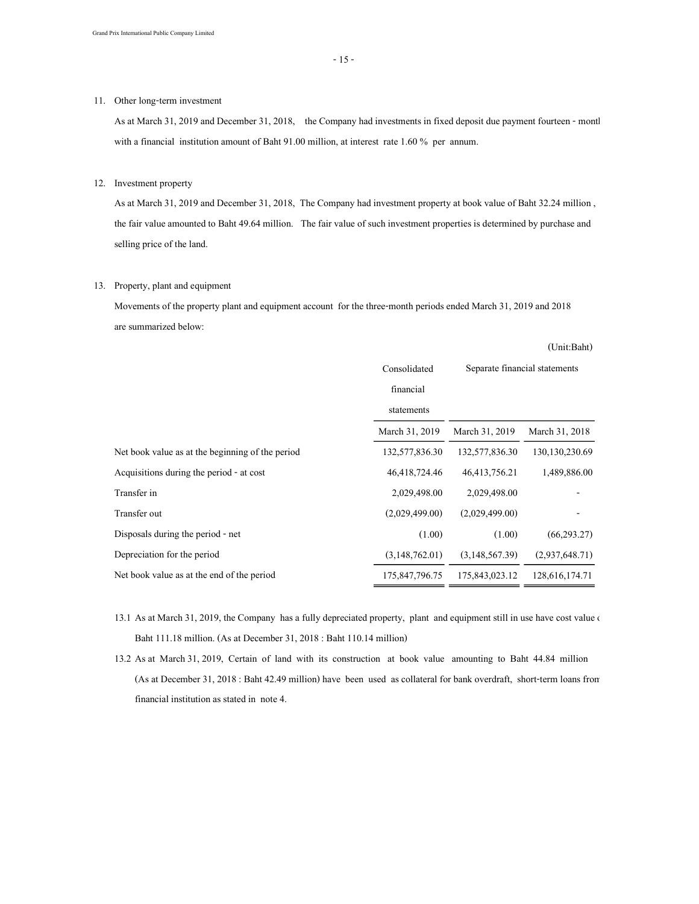### 11. Other long-term investment

As at March 31, 2019 and December 31, 2018, the Company had investments in fixed deposit due payment fourteen - month with a financial institution amount of Baht 91.00 million, at interest rate 1.60 % per annum.

### 12. Investment property

As at March 31, 2019 and December 31, 2018, The Company had investment property at book value of Baht 32.24 million , the fair value amounted to Baht 49.64 million. The fair value of such investment properties is determined by purchase and selling price of the land.

#### 13. Property, plant and equipment

Movements of the property plant and equipment account for the three-month periods ended March 31, 2019 and 2018 are summarized below:

|                                                  |                |                | (Unit:Baht)                   |  |
|--------------------------------------------------|----------------|----------------|-------------------------------|--|
|                                                  | Consolidated   |                | Separate financial statements |  |
|                                                  | financial      |                |                               |  |
|                                                  | statements     |                |                               |  |
|                                                  | March 31, 2019 | March 31, 2019 | March 31, 2018                |  |
| Net book value as at the beginning of the period | 132,577,836.30 | 132,577,836.30 | 130, 130, 230. 69             |  |
| Acquisitions during the period - at cost         | 46,418,724.46  | 46,413,756.21  | 1,489,886.00                  |  |
| Transfer in                                      | 2,029,498.00   | 2,029,498.00   |                               |  |
| Transfer out                                     | (2,029,499.00) | (2,029,499,00) |                               |  |
| Disposals during the period - net                | (1.00)         | (1.00)         | (66, 293, 27)                 |  |
| Depreciation for the period                      | (3,148,762.01) | (3,148,567.39) | (2,937,648.71)                |  |
| Net book value as at the end of the period       | 175,847,796.75 | 175,843,023.12 | 128, 616, 174. 71             |  |

- 13.1 As at March 31, 2019, the Company has a fully depreciated property, plant and equipment still in use have cost value  $\epsilon$ Baht 111.18 million. (As at December 31, 2018 : Baht 110.14 million)
- 13.2 As at March 31, 2019, Certain of land with its construction at book value amounting to Baht 44.84 million (As at December 31, 2018 : Baht 42.49 million) have been used as collateral for bank overdraft, short-term loans from financial institution as stated in note 4.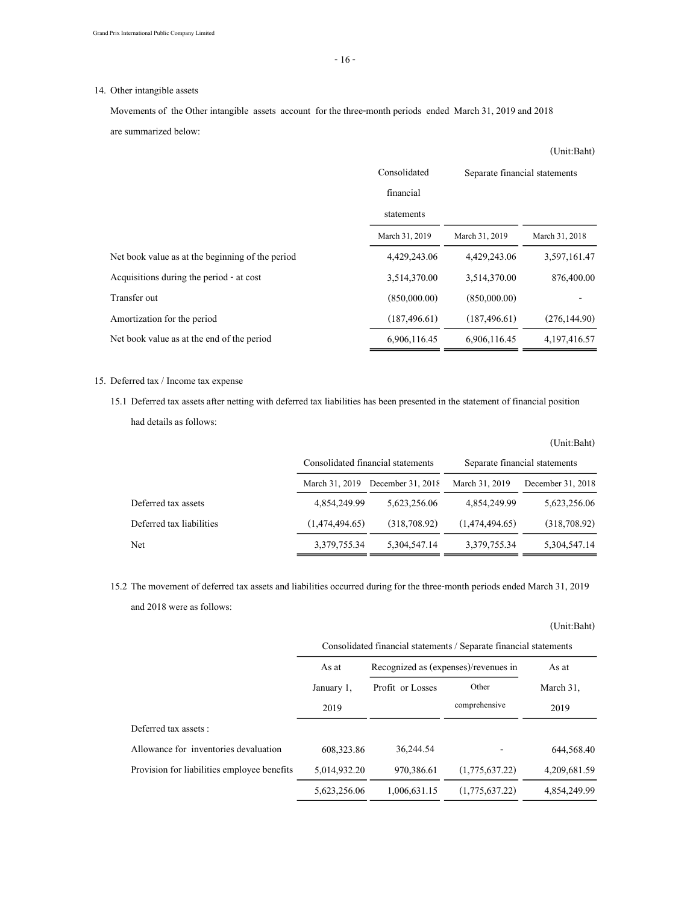### 14. Other intangible assets

Movements of the Other intangible assets account for the three-month periods ended March 31, 2019 and 2018

are summarized below:

|                                                  |                |                               | (Unit:Baht)    |
|--------------------------------------------------|----------------|-------------------------------|----------------|
|                                                  | Consolidated   | Separate financial statements |                |
|                                                  | financial      |                               |                |
|                                                  | statements     |                               |                |
|                                                  | March 31, 2019 | March 31, 2019                | March 31, 2018 |
| Net book value as at the beginning of the period | 4,429,243.06   | 4,429,243.06                  | 3,597,161.47   |
| Acquisitions during the period - at cost         | 3,514,370.00   | 3,514,370.00                  | 876,400.00     |
| Transfer out                                     | (850,000,00)   | (850,000,00)                  |                |
| Amortization for the period                      | (187, 496, 61) | (187, 496, 61)                | (276, 144.90)  |
| Net book value as at the end of the period       | 6,906,116.45   | 6,906,116.45                  | 4,197,416.57   |

### 15. Deferred tax / Income tax expense

15.1 Deferred tax assets after netting with deferred tax liabilities has been presented in the statement of financial position had details as follows:

|                          |                | Consolidated financial statements |                | Separate financial statements |
|--------------------------|----------------|-----------------------------------|----------------|-------------------------------|
|                          | March 31, 2019 | December 31, $2018$               | March 31, 2019 | December 31, 2018             |
| Deferred tax assets      | 4,854,249.99   | 5,623,256.06                      | 4,854,249.99   | 5,623,256.06                  |
| Deferred tax liabilities | (1,474,494,65) | (318,708,92)                      | (1,474,494,65) | (318,708.92)                  |
| Net                      | 3,379,755.34   | 5,304,547.14                      | 3,379,755.34   | 5,304,547.14                  |

(Unit:Baht)

(Unit:Baht)

15.2 The movement of deferred tax assets and liabilities occurred during for the three-month periods ended March 31, 2019 and 2018 were as follows:

|                                             | Consolidated financial statements / Separate financial statements |                                      |                        |                   |  |  |
|---------------------------------------------|-------------------------------------------------------------------|--------------------------------------|------------------------|-------------------|--|--|
|                                             | As at                                                             | Recognized as (expenses)/revenues in |                        | As at             |  |  |
|                                             | January 1,<br>2019                                                | Profit or Losses                     | Other<br>comprehensive | March 31,<br>2019 |  |  |
| Deferred tax assets :                       |                                                                   |                                      |                        |                   |  |  |
| Allowance for inventories devaluation       | 608.323.86                                                        | 36,244.54                            |                        | 644,568.40        |  |  |
| Provision for liabilities employee benefits | 5,014,932.20                                                      | 970,386.61                           | (1,775,637,22)         | 4,209,681.59      |  |  |
|                                             | 5,623,256.06                                                      | 1,006,631.15                         | (1,775,637,22)         | 4,854,249.99      |  |  |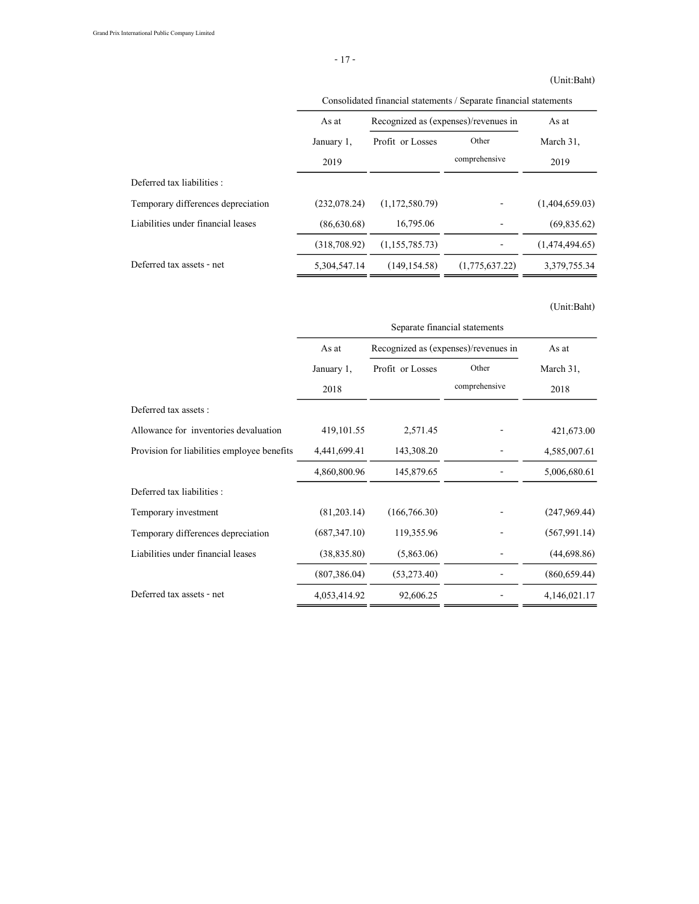### (Unit:Baht)

|                                    | Consolidated financial statements / Separate financial statements |                                      |                        |                   |  |
|------------------------------------|-------------------------------------------------------------------|--------------------------------------|------------------------|-------------------|--|
|                                    | As at                                                             | Recognized as (expenses)/revenues in |                        | As at             |  |
|                                    | January 1,<br>2019                                                | Profit or Losses                     | Other<br>comprehensive | March 31,<br>2019 |  |
| Deferred tax liabilities :         |                                                                   |                                      |                        |                   |  |
| Temporary differences depreciation | (232,078,24)                                                      | (1,172,580,79)                       |                        | (1,404,659,03)    |  |
| Liabilities under financial leases | (86,630,68)                                                       | 16,795.06                            |                        | (69,835.62)       |  |
|                                    | (318,708.92)                                                      | (1, 155, 785, 73)                    |                        | (1,474,494,65)    |  |
| Deferred tax assets - net          | 5,304,547.14                                                      | (149, 154, 58)                       | (1,775,637,22)         | 3,379,755.34      |  |

|                                             | Separate financial statements |                                      |               |               |  |
|---------------------------------------------|-------------------------------|--------------------------------------|---------------|---------------|--|
|                                             | As at                         | Recognized as (expenses)/revenues in |               | As at         |  |
|                                             | January 1,                    | Profit or Losses                     | Other         | March 31,     |  |
|                                             | 2018                          |                                      | comprehensive | 2018          |  |
| Deferred tax assets :                       |                               |                                      |               |               |  |
| Allowance for inventories devaluation       | 419,101.55                    | 2,571.45                             |               | 421,673.00    |  |
| Provision for liabilities employee benefits | 4,441,699.41                  | 143,308.20                           |               | 4,585,007.61  |  |
|                                             | 4,860,800.96                  | 145,879.65                           |               | 5,006,680.61  |  |
| Deferred tax liabilities :                  |                               |                                      |               |               |  |
| Temporary investment                        | (81, 203.14)                  | (166, 766, 30)                       |               | (247,969,44)  |  |
| Temporary differences depreciation          | (687, 347, 10)                | 119,355.96                           |               | (567, 991.14) |  |
| Liabilities under financial leases          | (38, 835.80)                  | (5,863.06)                           |               | (44,698.86)   |  |
|                                             | (807, 386.04)                 | (53, 273.40)                         |               | (860, 659.44) |  |
| Deferred tax assets - net                   | 4,053,414.92                  | 92,606.25                            |               | 4,146,021.17  |  |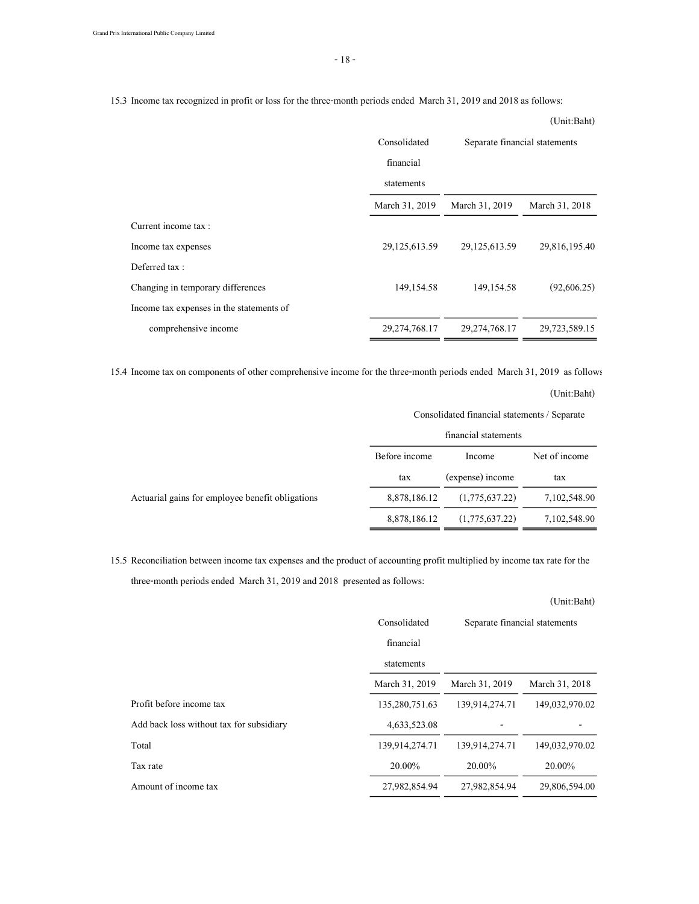15.3 Income tax recognized in profit or loss for the three-month periods ended March 31, 2019 and 2018 as follows:

|                                          |                  |                               | $10 - 11$      |
|------------------------------------------|------------------|-------------------------------|----------------|
|                                          | Consolidated     | Separate financial statements |                |
|                                          | financial        |                               |                |
|                                          | statements       |                               |                |
|                                          | March 31, 2019   | March 31, 2019                | March 31, 2018 |
| Current income tax :                     |                  |                               |                |
| Income tax expenses                      | 29,125,613.59    | 29,125,613.59                 | 29,816,195.40  |
| Deferred tax:                            |                  |                               |                |
| Changing in temporary differences        | 149,154.58       | 149, 154.58                   | (92,606.25)    |
| Income tax expenses in the statements of |                  |                               |                |
| comprehensive income                     | 29, 274, 768. 17 | 29, 274, 768. 17              | 29,723,589.15  |
|                                          |                  |                               |                |

15.4 Income tax on components of other comprehensive income for the three-month periods ended March 31, 2019 as follows:

(Unit:Baht)

| Consolidated financial statements / Separate |  |
|----------------------------------------------|--|
|----------------------------------------------|--|

|                                                  |               | financial statements |               |
|--------------------------------------------------|---------------|----------------------|---------------|
|                                                  | Before income | Income               | Net of income |
|                                                  | tax           | (expense) income     | tax           |
| Actuarial gains for employee benefit obligations | 8,878,186.12  | (1,775,637,22)       | 7,102,548.90  |
|                                                  | 8,878,186.12  | (1,775,637.22)       | 7,102,548.90  |

15.5 Reconciliation between income tax expenses and the product of accounting profit multiplied by income tax rate for the three-month periods ended March 31, 2019 and 2018 presented as follows:

|                |                               | (Unit:Baht)    |
|----------------|-------------------------------|----------------|
| Consolidated   | Separate financial statements |                |
| financial      |                               |                |
| statements     |                               |                |
| March 31, 2019 | March 31, 2019                | March 31, 2018 |
| 135,280,751.63 | 139,914,274.71                | 149,032,970.02 |
| 4,633,523.08   |                               |                |
| 139,914,274.71 | 139,914,274.71                | 149,032,970.02 |
| 20.00%         | 20.00%                        | 20.00%         |
| 27,982,854.94  | 27,982,854,94                 | 29,806,594.00  |
|                |                               |                |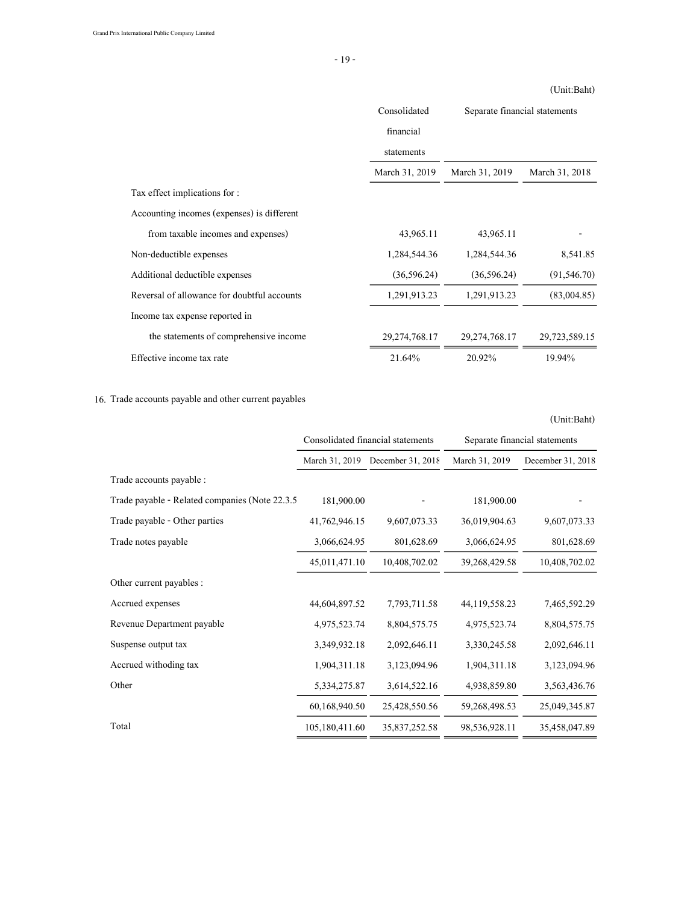Consolidated financial statements March 31, 2019 March 31, 2019 March 31, 2018 Tax effect implications for : Accounting incomes (expenses) is different from taxable incomes and expenses) 43,965.11 43,965.11 43,965.11 Non-deductible expenses 1,284,544.36 1,284,544.36 8,541.85 Additional deductible expenses (36,596.24) (36,596.24) (91,546.70) Reversal of allowance for doubtful accounts 1,291,913.23 1,291,913.23 (83,004.85) Income tax expense reported in the statements of comprehensive income 29,274,768.17 29,274,768.17 29,723,589.15 Effective income tax rate 21.64% 20.92% 19.94% Separate financial statements

### 16. Trade accounts payable and other current payables

March 31, 2019 December 31, 2018 March 31, 2019 December 31, 2018 Trade accounts payable : Trade payable - Related companies (Note 22.3.5 181,900.00 - 181,900.00 Trade payable - Other parties 41,762,946.15 9,607,073.33 36,019,904.63 9,607,073.33 Trade notes payable 3,066,624.95 801,628.69 3,066,624.95 801,628.69 45,011,471.10 10,408,702.02 39,268,429.58 10,408,702.02 Other current payables : Accrued expenses 44,604,897.52 7,793,711.58 44,119,558.23 7,465,592.29 Revenue Department payable 4,975,523.74 8,804,575.75 4,975,523.74 8,804,575.75 Suspense output tax 3,349,932.18 2,092,646.11 3,330,245.58 2,092,646.11 Accrued withoding tax 1,904,311.18 3,123,094.96 1,904,311.18 3,123,094.96 Other 5,334,275.87 3,614,522.16 4,938,859.80 3,563,436.76 60,168,940.50 25,428,550.56 59,268,498.53 25,049,345.87 Total 105,180,411.60 35,837,252.58 98,536,928.11 35,458,047.89 Consolidated financial statements Separate financial statements

#### (Unit:Baht)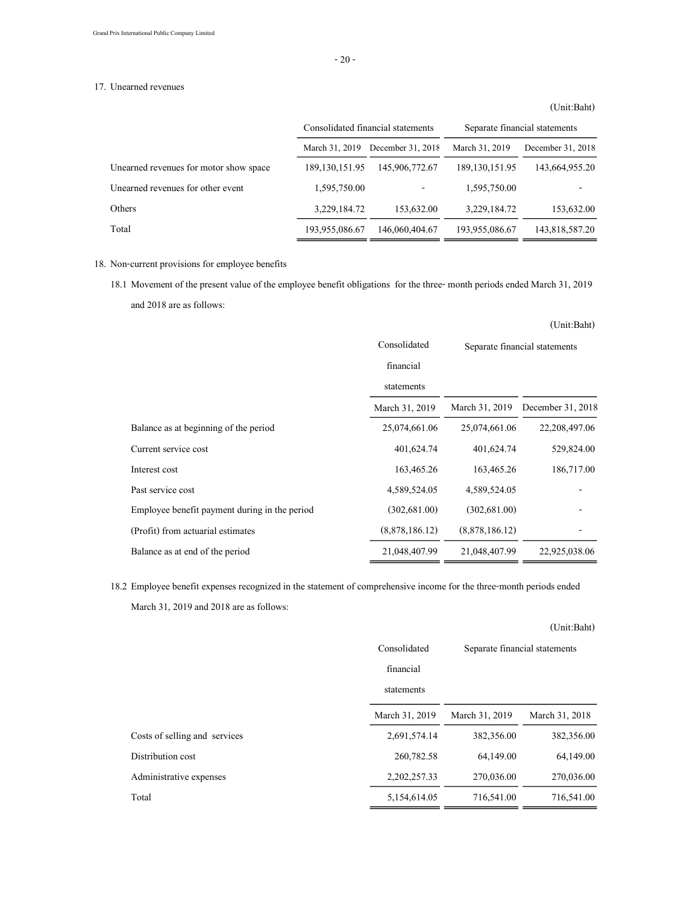### 17. Unearned revenues

# March 31, 2019 December 31, 2018 March 31, 2019 December 31, 2018 Unearned revenues for motor show space 189,130,151.95 145,906,772.67 189,130,151.95 143,664,955.20 Unearned revenues for other event 1,595,750.00 - 1,595,750.00 Others 3,229,184.72 153,632.00 3,229,184.72 153,632.00 Total 193,955,086.67 146,060,404.67 193,955,086.67 143,818,587.20 Consolidated financial statements Separate financial statements

### 18. Non-current provisions for employee benefits

18.1 Movement of the present value of the employee benefit obligations for the three- month periods ended March 31, 2019 and 2018 are as follows:

|                                               |                |                               | (Unit:Baht)       |
|-----------------------------------------------|----------------|-------------------------------|-------------------|
|                                               | Consolidated   | Separate financial statements |                   |
|                                               | financial      |                               |                   |
|                                               | statements     |                               |                   |
|                                               | March 31, 2019 | March 31, 2019                | December 31, 2018 |
| Balance as at beginning of the period         | 25,074,661.06  | 25,074,661.06                 | 22,208,497.06     |
| Current service cost                          | 401,624.74     | 401,624.74                    | 529,824.00        |
| Interest cost                                 | 163,465.26     | 163,465.26                    | 186,717.00        |
| Past service cost                             | 4,589,524.05   | 4,589,524.05                  |                   |
| Employee benefit payment during in the period | (302,681.00)   | (302,681,00)                  |                   |
| (Profit) from actuarial estimates             | (8,878,186.12) | (8,878,186,12)                |                   |
| Balance as at end of the period               | 21,048,407.99  | 21,048,407.99                 | 22,925,038.06     |

18.2 Employee benefit expenses recognized in the statement of comprehensive income for the three-month periods ended

March 31, 2019 and 2018 are as follows:

|                               |                |                               | $U$ ulu.Dail $U$ |
|-------------------------------|----------------|-------------------------------|------------------|
|                               | Consolidated   | Separate financial statements |                  |
|                               | financial      |                               |                  |
|                               | statements     |                               |                  |
|                               | March 31, 2019 | March 31, 2019                | March 31, 2018   |
| Costs of selling and services | 2,691,574.14   | 382,356.00                    | 382,356.00       |
| Distribution cost             | 260,782.58     | 64,149.00                     | 64,149.00        |
| Administrative expenses       | 2,202,257.33   | 270,036.00                    | 270,036.00       |
| Total                         | 5,154,614.05   | 716,541.00                    | 716,541.00       |

 $(IInit:D_0ht)$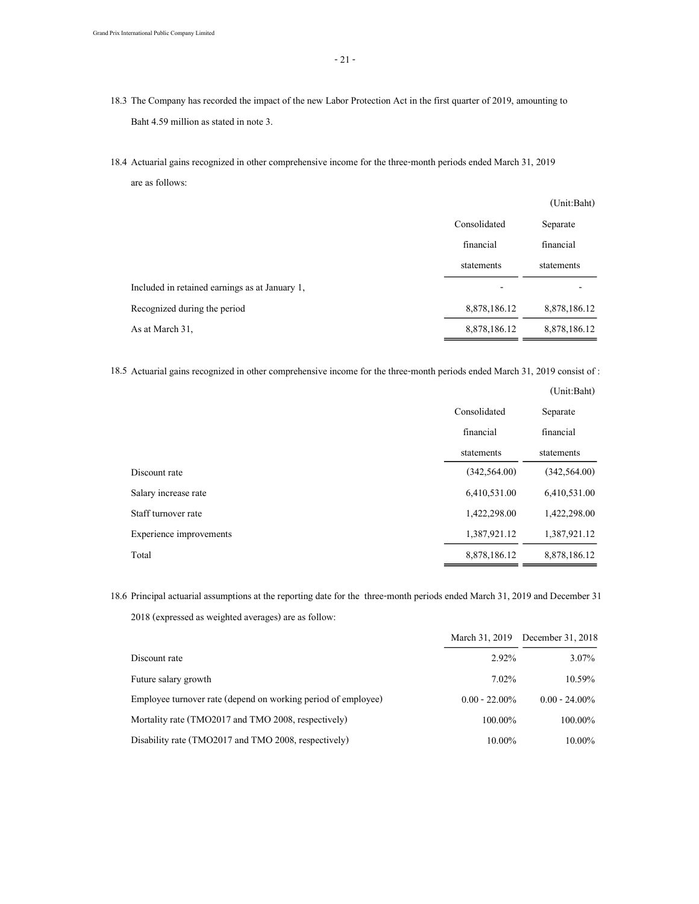18.4 Actuarial gains recognized in other comprehensive income for the three-month periods ended March 31, 2019 are as follows:

|                                                |              | (Unit:Baht)  |
|------------------------------------------------|--------------|--------------|
|                                                | Consolidated | Separate     |
|                                                | financial    | financial    |
|                                                | statements   | statements   |
| Included in retained earnings as at January 1, | -            |              |
| Recognized during the period                   | 8,878,186.12 | 8,878,186.12 |
| As at March 31,                                | 8,878,186.12 | 8,878,186.12 |

18.5 Actuarial gains recognized in other comprehensive income for the three-month periods ended March 31, 2019 consist of :

|                         |                | (Unit:Baht)    |
|-------------------------|----------------|----------------|
|                         | Consolidated   | Separate       |
|                         | financial      | financial      |
|                         | statements     | statements     |
| Discount rate           | (342, 564, 00) | (342, 564, 00) |
| Salary increase rate    | 6,410,531.00   | 6,410,531.00   |
| Staff turnover rate     | 1,422,298.00   | 1,422,298.00   |
| Experience improvements | 1,387,921.12   | 1,387,921.12   |
| Total                   | 8,878,186.12   | 8,878,186.12   |

18.6 Principal actuarial assumptions at the reporting date for the three-month periods ended March 31, 2019 and December 31, 2018 (expressed as weighted averages) are as follow:

|                                                               |                  | March 31, 2019 December 31, 2018 |
|---------------------------------------------------------------|------------------|----------------------------------|
| Discount rate                                                 | 2.92%            | $3.07\%$                         |
| Future salary growth                                          | $7.02\%$         | 10.59%                           |
| Employee turnover rate (depend on working period of employee) | $0.00 - 22.00\%$ | $0.00 - 24.00\%$                 |
| Mortality rate (TMO2017 and TMO 2008, respectively)           | 100.00%          | $100.00\%$                       |
| Disability rate (TMO2017 and TMO 2008, respectively)          | 10.00%           | 10.00%                           |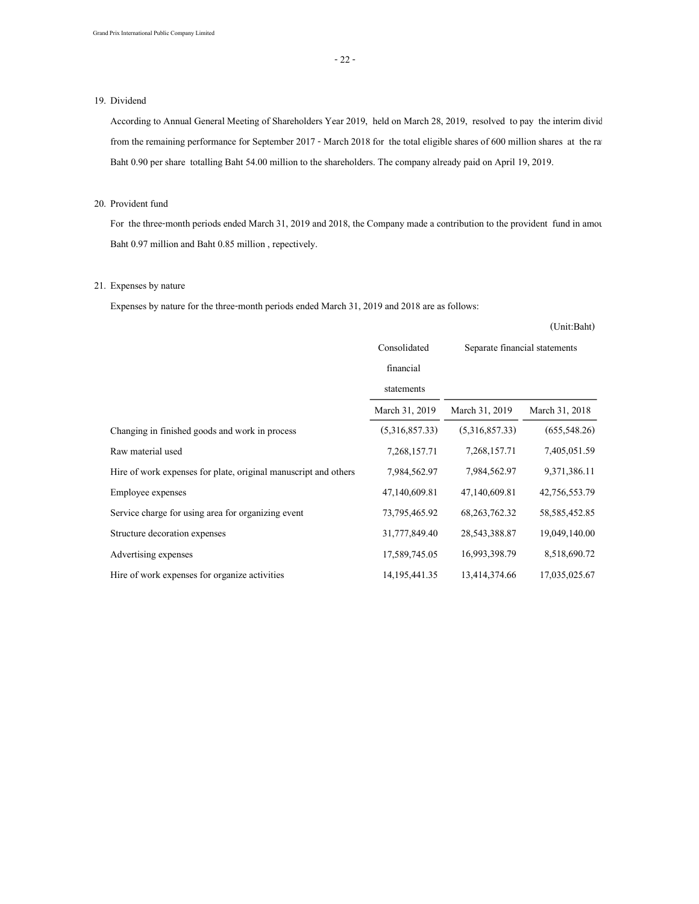### 19. Dividend

According to Annual General Meeting of Shareholders Year 2019, held on March 28, 2019, resolved to pay the interim divid from the remaining performance for September 2017 - March 2018 for the total eligible shares of 600 million shares at the rate Baht 0.90 per share totalling Baht 54.00 million to the shareholders. The company already paid on April 19, 2019.

### 20. Provident fund

For the three-month periods ended March 31, 2019 and 2018, the Company made a contribution to the provident fund in amou Baht 0.97 million and Baht 0.85 million , repectively.

### 21. Expenses by nature

Expenses by nature for the three-month periods ended March 31, 2019 and 2018 are as follows:

|                                                                 | Consolidated     | Separate financial statements |                 |
|-----------------------------------------------------------------|------------------|-------------------------------|-----------------|
|                                                                 | financial        |                               |                 |
|                                                                 | statements       |                               |                 |
|                                                                 | March 31, 2019   | March 31, 2019                | March 31, 2018  |
| Changing in finished goods and work in process                  | (5,316,857.33)   | (5,316,857.33)                | (655, 548.26)   |
| Raw material used                                               | 7,268,157.71     | 7,268,157.71                  | 7,405,051.59    |
| Hire of work expenses for plate, original manuscript and others | 7,984,562.97     | 7,984,562.97                  | 9,371,386.11    |
| Employee expenses                                               | 47,140,609.81    | 47,140,609.81                 | 42,756,553.79   |
| Service charge for using area for organizing event              | 73,795,465.92    | 68, 263, 762. 32              | 58, 585, 452.85 |
| Structure decoration expenses                                   | 31,777,849.40    | 28, 543, 388. 87              | 19,049,140.00   |
| Advertising expenses                                            | 17,589,745.05    | 16,993,398.79                 | 8,518,690.72    |
| Hire of work expenses for organize activities                   | 14, 195, 441. 35 | 13,414,374.66                 | 17,035,025.67   |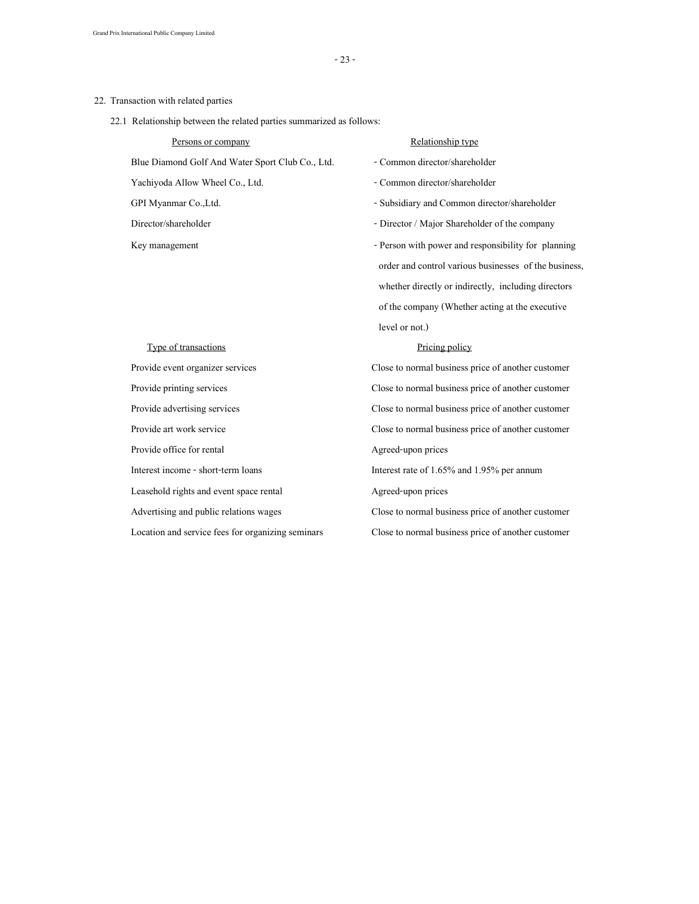### 22. Transaction with related parties

22.1 Relationship between the related parties summarized as follows:

| Persons or company                               | Relationship type                                     |
|--------------------------------------------------|-------------------------------------------------------|
| Blue Diamond Golf And Water Sport Club Co., Ltd. | - Common director/shareholder                         |
| Yachiyoda Allow Wheel Co., Ltd.                  | - Common director/shareholder                         |
| GPI Myanmar Co.,Ltd.                             | - Subsidiary and Common director/shareholder          |
| Director/shareholder                             | - Director / Major Shareholder of the company         |
| Key management                                   | - Person with power and responsibility for planning   |
|                                                  | order and control various businesses of the business, |
|                                                  | whether directly or indirectly, including directors   |
|                                                  | of the company (Whether acting at the executive       |

| Provide event organizer services                  |
|---------------------------------------------------|
| Provide printing services                         |
| Provide advertising services                      |
| Provide art work service                          |
| Provide office for rental                         |
| Interest income - short-term loans                |
| Leasehold rights and event space rental           |
| Advertising and public relations wages            |
| Location and service fees for organizing seminars |

### Type of transactions Pricing policy

level or not.)

Close to normal business price of another customer Close to normal business price of another customer Close to normal business price of another customer Close to normal business price of another customer Agreed-upon prices Interest rate of 1.65% and 1.95% per annum Agreed-upon prices Close to normal business price of another customer Close to normal business price of another customer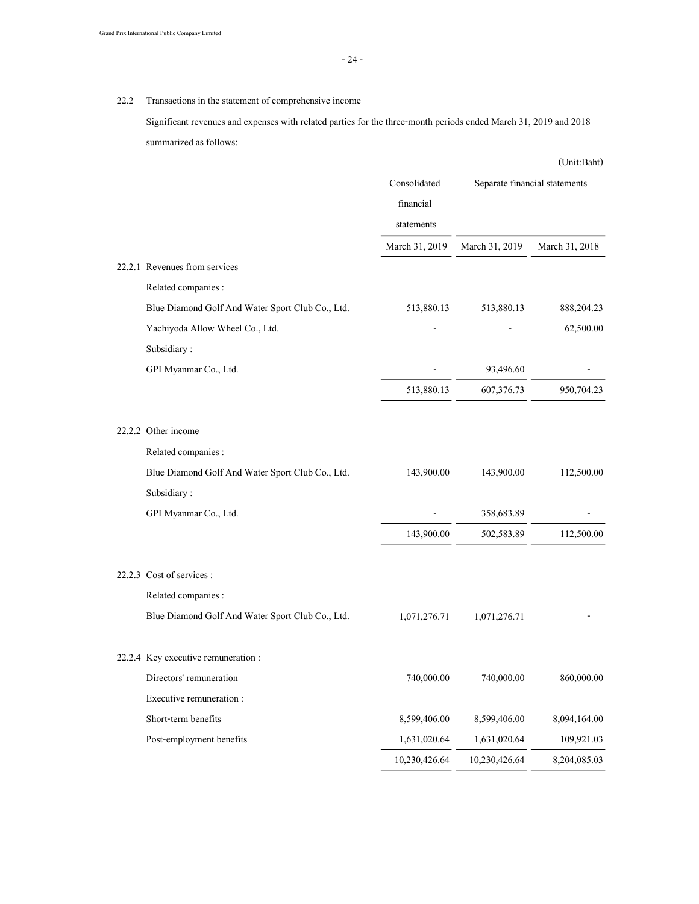### 22.2 Transactions in the statement of comprehensive income

Significant revenues and expenses with related parties for the three-month periods ended March 31, 2019 and 2018 summarized as follows:

|                                                  |                |                | (Unit:Baht)                   |
|--------------------------------------------------|----------------|----------------|-------------------------------|
|                                                  | Consolidated   |                | Separate financial statements |
|                                                  | financial      |                |                               |
|                                                  | statements     |                |                               |
|                                                  | March 31, 2019 | March 31, 2019 | March 31, 2018                |
| 22.2.1 Revenues from services                    |                |                |                               |
| Related companies :                              |                |                |                               |
| Blue Diamond Golf And Water Sport Club Co., Ltd. | 513,880.13     | 513,880.13     | 888, 204. 23                  |
| Yachiyoda Allow Wheel Co., Ltd.                  |                |                | 62,500.00                     |
| Subsidiary:                                      |                |                |                               |
| GPI Myanmar Co., Ltd.                            |                | 93,496.60      |                               |
|                                                  | 513,880.13     | 607,376.73     | 950,704.23                    |
| 22.2.2 Other income                              |                |                |                               |
| Related companies :                              |                |                |                               |
| Blue Diamond Golf And Water Sport Club Co., Ltd. | 143,900.00     | 143,900.00     | 112,500.00                    |
| Subsidiary:                                      |                |                |                               |
| GPI Myanmar Co., Ltd.                            |                | 358,683.89     |                               |
|                                                  | 143,900.00     | 502,583.89     | 112,500.00                    |
| 22.2.3 Cost of services :                        |                |                |                               |
| Related companies :                              |                |                |                               |
| Blue Diamond Golf And Water Sport Club Co., Ltd. | 1,071,276.71   | 1,071,276.71   |                               |
| 22.2.4 Key executive remuneration :              |                |                |                               |
| Directors' remuneration                          | 740,000.00     | 740,000.00     | 860,000.00                    |
| Executive remuneration:                          |                |                |                               |
| Short-term benefits                              | 8,599,406.00   | 8,599,406.00   | 8,094,164.00                  |
| Post-employment benefits                         | 1,631,020.64   | 1,631,020.64   | 109,921.03                    |
|                                                  | 10,230,426.64  | 10,230,426.64  | 8,204,085.03                  |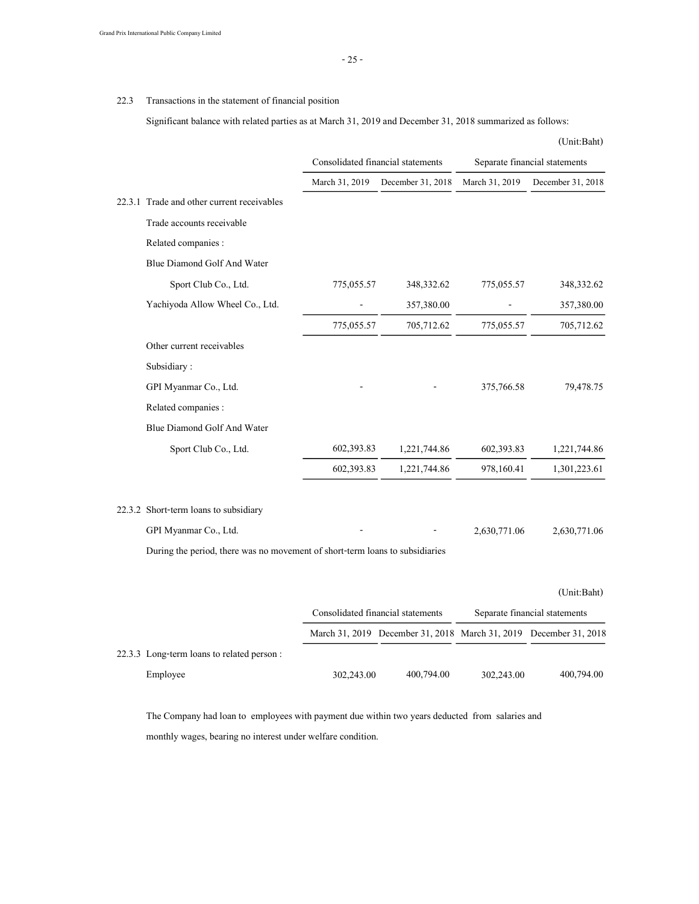### 22.3 Transactions in the statement of financial position

Significant balance with related parties as at March 31, 2019 and December 31, 2018 summarized as follows:

|                                                                              |                                   |                   |                | (Unit:Baht)                   |
|------------------------------------------------------------------------------|-----------------------------------|-------------------|----------------|-------------------------------|
|                                                                              | Consolidated financial statements |                   |                | Separate financial statements |
|                                                                              | March 31, 2019                    | December 31, 2018 | March 31, 2019 | December 31, 2018             |
| 22.3.1 Trade and other current receivables                                   |                                   |                   |                |                               |
| Trade accounts receivable                                                    |                                   |                   |                |                               |
| Related companies :                                                          |                                   |                   |                |                               |
| Blue Diamond Golf And Water                                                  |                                   |                   |                |                               |
| Sport Club Co., Ltd.                                                         | 775,055.57                        | 348, 332. 62      | 775,055.57     | 348,332.62                    |
| Yachiyoda Allow Wheel Co., Ltd.                                              |                                   | 357,380.00        |                | 357,380.00                    |
|                                                                              | 775,055.57                        | 705,712.62        | 775,055.57     | 705,712.62                    |
| Other current receivables                                                    |                                   |                   |                |                               |
| Subsidiary:                                                                  |                                   |                   |                |                               |
| GPI Myanmar Co., Ltd.                                                        |                                   |                   | 375,766.58     | 79,478.75                     |
| Related companies :                                                          |                                   |                   |                |                               |
| Blue Diamond Golf And Water                                                  |                                   |                   |                |                               |
| Sport Club Co., Ltd.                                                         | 602,393.83                        | 1,221,744.86      | 602,393.83     | 1,221,744.86                  |
|                                                                              | 602,393.83                        | 1,221,744.86      | 978,160.41     | 1,301,223.61                  |
| 22.3.2 Short-term loans to subsidiary                                        |                                   |                   |                |                               |
| GPI Myanmar Co., Ltd.                                                        |                                   |                   | 2,630,771.06   | 2,630,771.06                  |
| During the period, there was no movement of short-term loans to subsidiaries |                                   |                   |                |                               |
|                                                                              |                                   |                   |                | (Unit:Baht)                   |

|                                           | Consolidated financial statements |            | Separate financial statements |                                                                   |
|-------------------------------------------|-----------------------------------|------------|-------------------------------|-------------------------------------------------------------------|
|                                           |                                   |            |                               | March 31, 2019 December 31, 2018 March 31, 2019 December 31, 2018 |
| 22.3.3 Long-term loans to related person: |                                   |            |                               |                                                                   |
| Employee                                  | 302,243.00                        | 400,794.00 | 302,243.00                    | 400,794.00                                                        |

The Company had loan to employees with payment due within two years deducted from salaries and monthly wages, bearing no interest under welfare condition.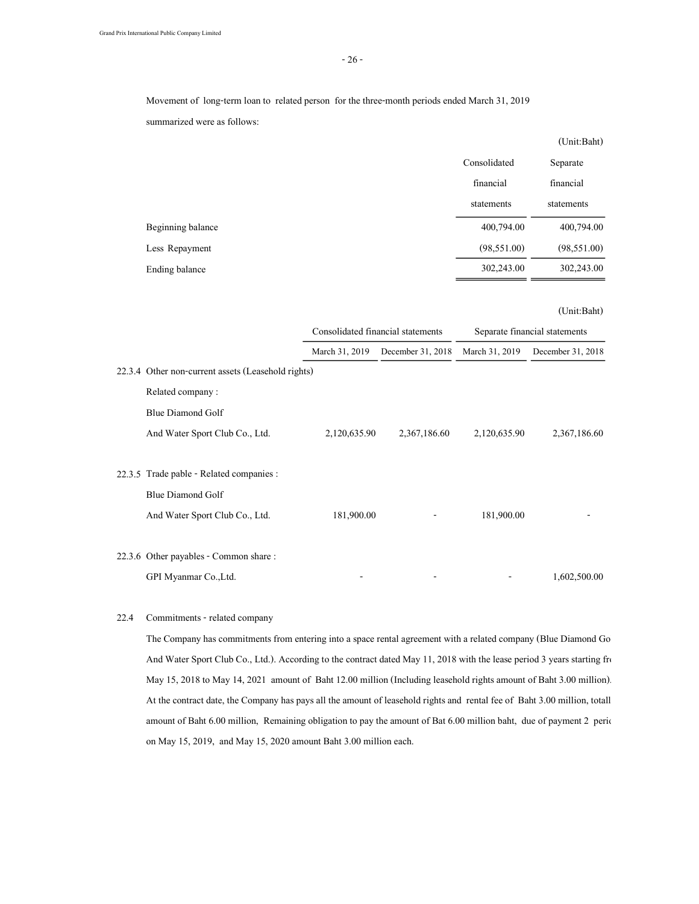Movement of long-term loan to related person for the three-month periods ended March 31, 2019

summarized were as follows:

|                   |              | (Unit:Baht)  |
|-------------------|--------------|--------------|
|                   | Consolidated | Separate     |
|                   | financial    | financial    |
|                   | statements   | statements   |
| Beginning balance | 400,794.00   | 400,794.00   |
| Less Repayment    | (98, 551.00) | (98, 551.00) |
| Ending balance    | 302,243.00   | 302,243.00   |

#### (Unit:Baht)

|                                                    | Consolidated financial statements |                   | Separate financial statements |                   |
|----------------------------------------------------|-----------------------------------|-------------------|-------------------------------|-------------------|
|                                                    | March 31, 2019                    | December 31, 2018 | March 31, 2019                | December 31, 2018 |
| 22.3.4 Other non-current assets (Leasehold rights) |                                   |                   |                               |                   |
| Related company:                                   |                                   |                   |                               |                   |
| Blue Diamond Golf                                  |                                   |                   |                               |                   |
| And Water Sport Club Co., Ltd.                     | 2,120,635.90                      | 2,367,186.60      | 2,120,635.90                  | 2,367,186.60      |
|                                                    |                                   |                   |                               |                   |
| 22.3.5 Trade pable - Related companies :           |                                   |                   |                               |                   |
| <b>Blue Diamond Golf</b>                           |                                   |                   |                               |                   |
| And Water Sport Club Co., Ltd.                     | 181,900.00                        |                   | 181,900.00                    |                   |
|                                                    |                                   |                   |                               |                   |
| 22.3.6 Other payables - Common share:              |                                   |                   |                               |                   |
| GPI Myanmar Co., Ltd.                              |                                   |                   |                               | 1,602,500.00      |

### 22.4 Commitments - related company

The Company has commitments from entering into a space rental agreement with a related company (Blue Diamond Go And Water Sport Club Co., Ltd.). According to the contract dated May 11, 2018 with the lease period 3 years starting from May 15, 2018 to May 14, 2021 amount of Baht 12.00 million (Including leasehold rights amount of Baht 3.00 million). At the contract date, the Company has pays all the amount of leasehold rights and rental fee of Baht 3.00 million, totall amount of Baht 6.00 million, Remaining obligation to pay the amount of Bat 6.00 million baht, due of payment 2 period on May 15, 2019, and May 15, 2020 amount Baht 3.00 million each.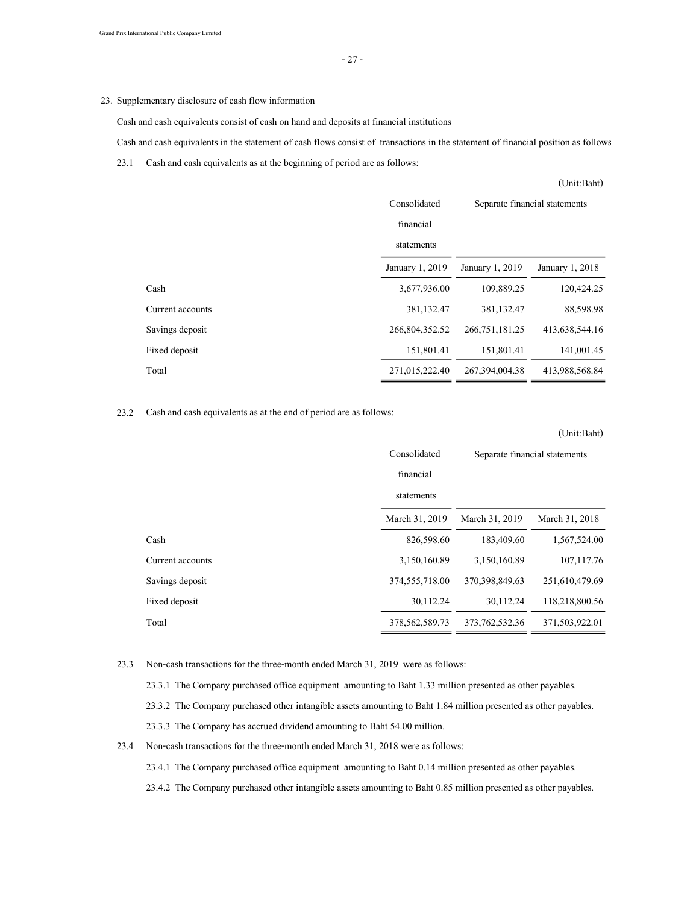### 23. Supplementary disclosure of cash flow information

Cash and cash equivalents consist of cash on hand and deposits at financial institutions

Cash and cash equivalents in the statement of cash flows consist of transactions in the statement of financial position as follows :

23.1 Cash and cash equivalents as at the beginning of period are as follows:

|                  |                 |                               | (Unit:Baht)     |
|------------------|-----------------|-------------------------------|-----------------|
|                  | Consolidated    | Separate financial statements |                 |
|                  | financial       |                               |                 |
|                  | statements      |                               |                 |
|                  | January 1, 2019 | January 1, 2019               | January 1, 2018 |
| Cash             | 3,677,936,00    | 109,889.25                    | 120,424.25      |
| Current accounts | 381,132.47      | 381,132.47                    | 88,598.98       |
| Savings deposit  | 266,804,352.52  | 266, 751, 181. 25             | 413,638,544.16  |
| Fixed deposit    | 151,801.41      | 151,801.41                    | 141,001.45      |
| Total            | 271,015,222.40  | 267, 394, 004. 38             | 413,988,568.84  |

### 23.2 Cash and cash equivalents as at the end of period are as follows:

|                  |                   |                               | (Unit:Baht)    |
|------------------|-------------------|-------------------------------|----------------|
|                  | Consolidated      | Separate financial statements |                |
|                  | financial         |                               |                |
|                  | statements        |                               |                |
|                  | March 31, 2019    | March 31, 2019                | March 31, 2018 |
| Cash             | 826,598.60        | 183,409.60                    | 1,567,524.00   |
| Current accounts | 3,150,160.89      | 3,150,160.89                  | 107, 117. 76   |
| Savings deposit  | 374,555,718.00    | 370, 398, 849. 63             | 251,610,479.69 |
| Fixed deposit    | 30,112.24         | 30,112,24                     | 118,218,800.56 |
| Total            | 378, 562, 589. 73 | 373, 762, 532, 36             | 371,503,922.01 |

### 23.3 Non-cash transactions for the three-month ended March 31, 2019 were as follows:

23.3.1 The Company purchased office equipment amounting to Baht 1.33 million presented as other payables.

- 23.3.2 The Company purchased other intangible assets amounting to Baht 1.84 million presented as other payables.
- 23.3.3 The Company has accrued dividend amounting to Baht 54.00 million.
- 23.4 Non-cash transactions for the three-month ended March 31, 2018 were as follows:
	- 23.4.1 The Company purchased office equipment amounting to Baht 0.14 million presented as other payables.
	- 23.4.2 The Company purchased other intangible assets amounting to Baht 0.85 million presented as other payables.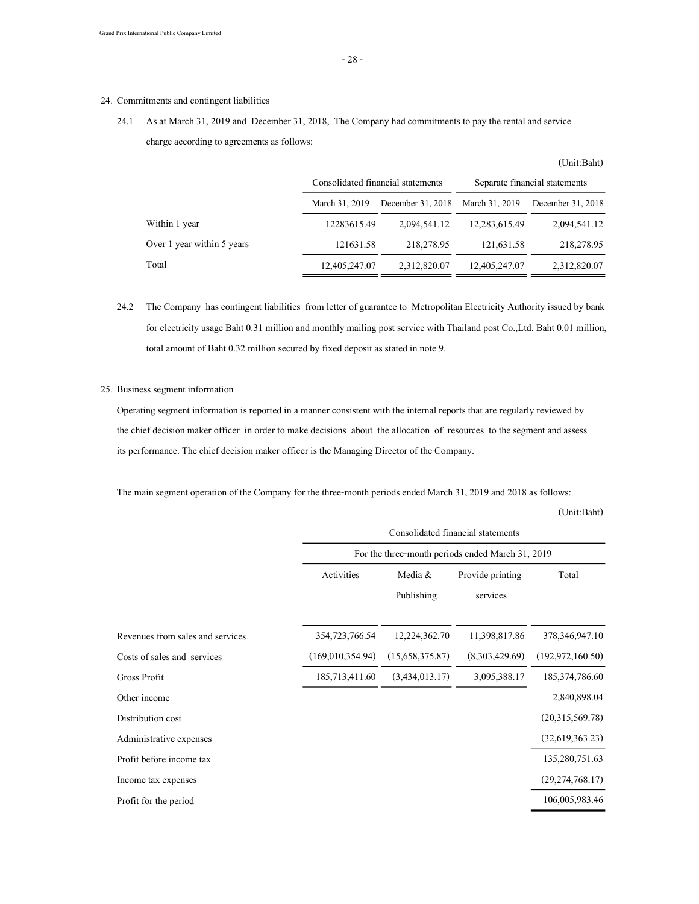### 24. Commitments and contingent liabilities

24.1 As at March 31, 2019 and December 31, 2018, The Company had commitments to pay the rental and service charge according to agreements as follows:

|                            | Consolidated financial statements |                   | Separate financial statements |                   |
|----------------------------|-----------------------------------|-------------------|-------------------------------|-------------------|
|                            | March 31, 2019                    | December 31, 2018 | March 31, 2019                | December 31, 2018 |
| Within 1 year              | 12283615.49                       | 2,094,541.12      | 12,283,615.49                 | 2,094,541.12      |
| Over 1 year within 5 years | 121631.58                         | 218,278.95        | 121,631.58                    | 218,278.95        |
| Total                      | 12,405,247.07                     | 2,312,820.07      | 12,405,247.07                 | 2,312,820.07      |

24.2 The Company has contingent liabilities from letter of guarantee to Metropolitan Electricity Authority issued by bank for electricity usage Baht 0.31 million and monthly mailing post service with Thailand post Co.,Ltd. Baht 0.01 million, total amount of Baht 0.32 million secured by fixed deposit as stated in note 9.

### 25. Business segment information

Operating segment information is reported in a manner consistent with the internal reports that are regularly reviewed by the chief decision maker officer in order to make decisions about the allocation of resources to the segment and assess its performance. The chief decision maker officer is the Managing Director of the Company.

The main segment operation of the Company for the three-month periods ended March 31, 2019 and 2018 as follows:

(Unit:Baht)

|                                  | Consolidated financial statements<br>For the three-month periods ended March 31, 2019 |                       |                              |                    |
|----------------------------------|---------------------------------------------------------------------------------------|-----------------------|------------------------------|--------------------|
|                                  |                                                                                       |                       |                              |                    |
|                                  | Activities                                                                            | Media &<br>Publishing | Provide printing<br>services | Total              |
|                                  |                                                                                       |                       |                              |                    |
| Revenues from sales and services | 354,723,766.54                                                                        | 12,224,362.70         | 11,398,817.86                | 378, 346, 947. 10  |
| Costs of sales and services      | (169,010,354.94)                                                                      | (15,658,375.87)       | (8,303,429.69)               | (192, 972, 160.50) |
| Gross Profit                     | 185,713,411.60                                                                        | (3,434,013,17)        | 3,095,388.17                 | 185, 374, 786.60   |
| Other income                     |                                                                                       |                       |                              | 2,840,898.04       |
| Distribution cost                |                                                                                       |                       |                              | (20,315,569,78)    |
| Administrative expenses          |                                                                                       |                       |                              | (32,619,363,23)    |
| Profit before income tax         |                                                                                       |                       |                              | 135,280,751.63     |
| Income tax expenses              |                                                                                       |                       |                              | (29, 274, 768.17)  |
| Profit for the period            |                                                                                       |                       |                              | 106,005,983.46     |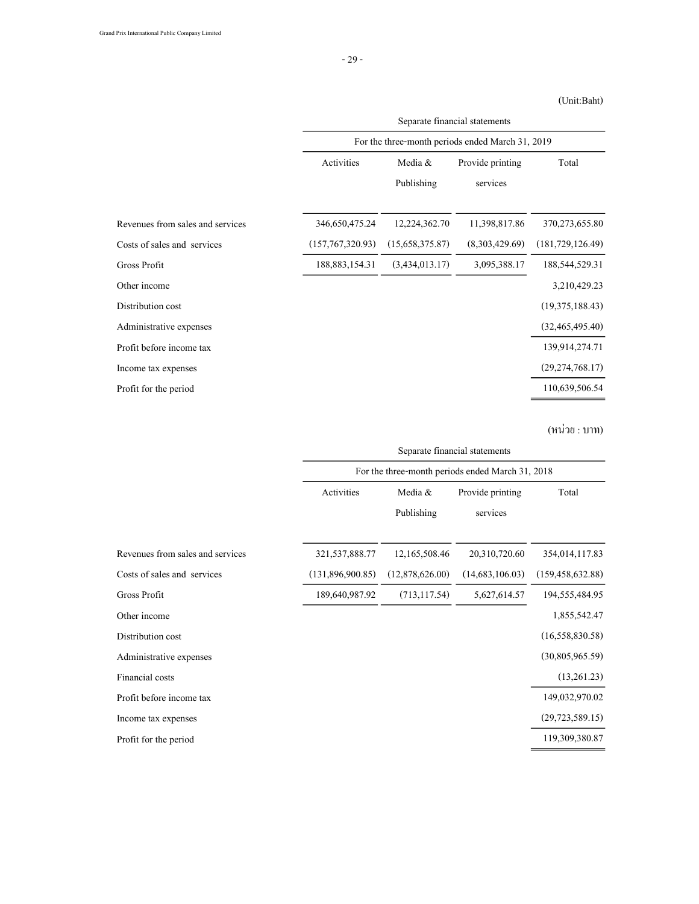### (Unit:Baht)

|                                  | Separate financial statements<br>For the three-month periods ended March 31, 2019 |                 |                  |                    |
|----------------------------------|-----------------------------------------------------------------------------------|-----------------|------------------|--------------------|
|                                  |                                                                                   |                 |                  |                    |
|                                  | Activities                                                                        | Media &         | Provide printing | Total              |
|                                  |                                                                                   | Publishing      | services         |                    |
| Revenues from sales and services | 346,650,475.24                                                                    | 12,224,362.70   | 11,398,817.86    | 370, 273, 655.80   |
| Costs of sales and services      | (157, 767, 320.93)                                                                | (15,658,375.87) | (8,303,429.69)   | (181, 729, 126.49) |
| Gross Profit                     | 188, 883, 154. 31                                                                 | (3,434,013.17)  | 3,095,388.17     | 188,544,529.31     |
| Other income                     |                                                                                   |                 |                  | 3,210,429.23       |
| Distribution cost                |                                                                                   |                 |                  | (19,375,188.43)    |
| Administrative expenses          |                                                                                   |                 |                  | (32, 465, 495, 40) |
| Profit before income tax         |                                                                                   |                 |                  | 139,914,274.71     |
| Income tax expenses              |                                                                                   |                 |                  | (29, 274, 768, 17) |
| Profit for the period            |                                                                                   |                 |                  | 110,639,506.54     |

(หน่วย : บาท)

|                                  | Separate financial statements<br>For the three-month periods ended March 31, 2018 |                 |                  |                    |
|----------------------------------|-----------------------------------------------------------------------------------|-----------------|------------------|--------------------|
|                                  |                                                                                   |                 |                  |                    |
|                                  | Activities                                                                        | Media &         | Provide printing | Total              |
|                                  |                                                                                   | Publishing      | services         |                    |
| Revenues from sales and services | 321, 537, 888. 77                                                                 | 12,165,508.46   | 20,310,720.60    | 354,014,117.83     |
| Costs of sales and services      | (131,896,900.85)                                                                  | (12,878,626.00) | (14,683,106.03)  | (159, 458, 632.88) |
| Gross Profit                     | 189,640,987.92                                                                    | (713, 117.54)   | 5,627,614.57     | 194,555,484.95     |
| Other income                     |                                                                                   |                 |                  | 1,855,542.47       |
| Distribution cost                |                                                                                   |                 |                  | (16, 558, 830.58)  |
| Administrative expenses          |                                                                                   |                 |                  | (30,805,965.59)    |
| Financial costs                  |                                                                                   |                 |                  | (13,261.23)        |
| Profit before income tax         |                                                                                   |                 |                  | 149,032,970.02     |
| Income tax expenses              |                                                                                   |                 |                  | (29, 723, 589.15)  |
| Profit for the period            |                                                                                   |                 |                  | 119,309,380.87     |